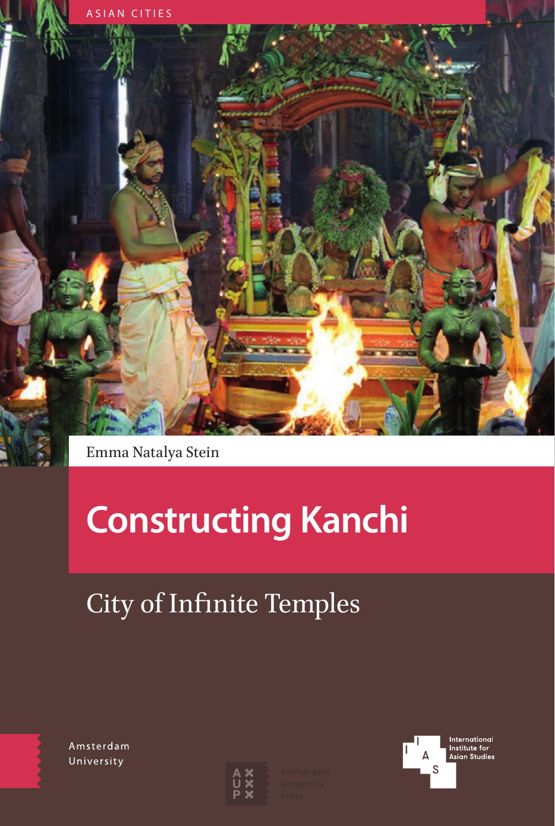ASIAN CITIES

Emma Natalya Stein

# **Constructing Kanchi**

## City of Infinite Temples



Amsterdam University





International<br>Institute for<br>Asian Studies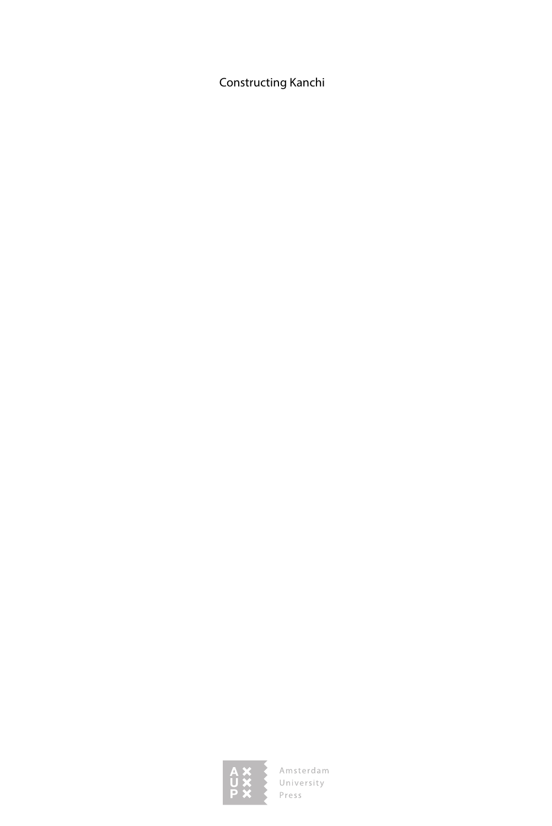Constructing Kanchi

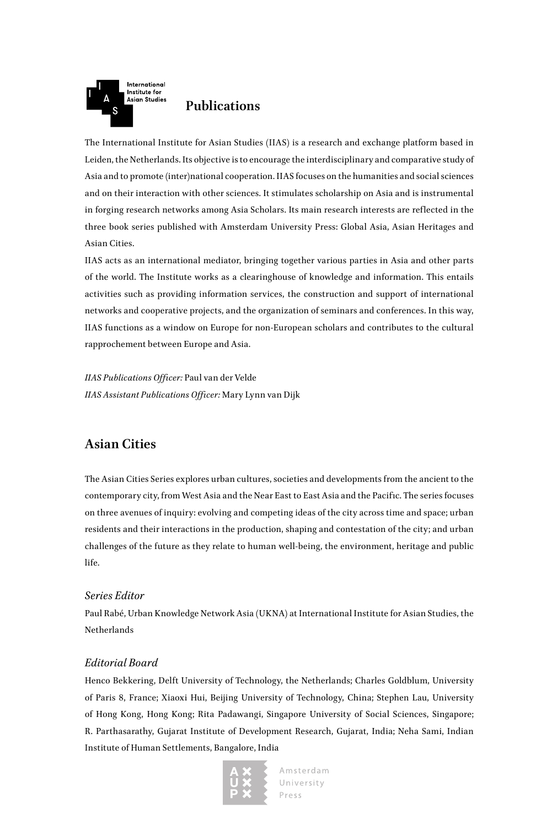

### **Publications**

The International Institute for Asian Studies (IIAS) is a research and exchange platform based in Leiden, the Netherlands. Its objective is to encourage the interdisciplinary and comparative study of Asia and to promote (inter)national cooperation. IIAS focuses on the humanities and social sciences and on their interaction with other sciences. It stimulates scholarship on Asia and is instrumental in forging research networks among Asia Scholars. Its main research interests are reflected in the three book series published with Amsterdam University Press: Global Asia, Asian Heritages and Asian Cities.

IIAS acts as an international mediator, bringing together various parties in Asia and other parts of the world. The Institute works as a clearinghouse of knowledge and information. This entails activities such as providing information services, the construction and support of international networks and cooperative projects, and the organization of seminars and conferences. In this way, IIAS functions as a window on Europe for non-European scholars and contributes to the cultural rapprochement between Europe and Asia.

*IIAS Publications Officer:* Paul van der Velde *IIAS Assistant Publications Officer:* Mary Lynn van Dijk

### **Asian Cities**

The Asian Cities Series explores urban cultures, societies and developments from the ancient to the contemporary city, from West Asia and the Near East to East Asia and the Pacific. The series focuses on three avenues of inquiry: evolving and competing ideas of the city across time and space; urban residents and their interactions in the production, shaping and contestation of the city; and urban challenges of the future as they relate to human well-being, the environment, heritage and public life.

#### *Series Editor*

Paul Rabé, Urban Knowledge Network Asia (UKNA) at International Institute for Asian Studies, the Netherlands

#### *Editorial Board*

Henco Bekkering, Delft University of Technology, the Netherlands; Charles Goldblum, University of Paris 8, France; Xiaoxi Hui, Beijing University of Technology, China; Stephen Lau, University of Hong Kong, Hong Kong; Rita Padawangi, Singapore University of Social Sciences, Singapore; R. Parthasarathy, Gujarat Institute of Development Research, Gujarat, India; Neha Sami, Indian Institute of Human Settlements, Bangalore, India



Amsterdam University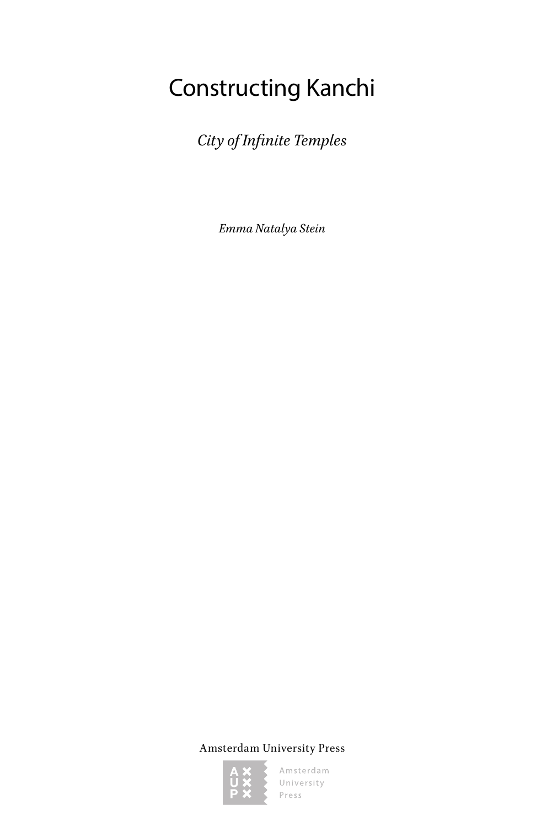### Constructing Kanchi

*City of Infinite Temples*

*Emma Natalya Stein*

Amsterdam University Press

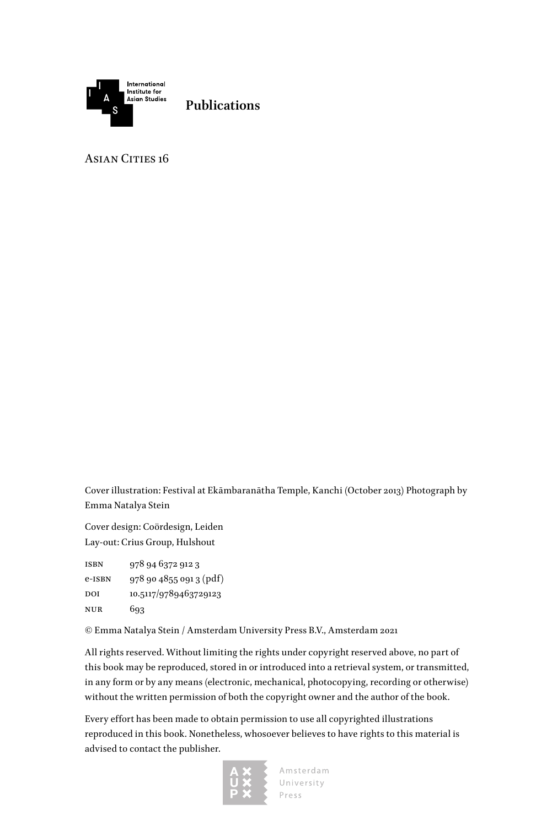

**Publications**

ASIAN CITIES 16

Cover illustration: Festival at Ekāmbaranātha Temple, Kanchi (October 2013) Photograph by Emma Natalya Stein

Cover design: Coördesign, Leiden Lay-out: Crius Group, Hulshout

isbn 978 94 6372 912 3 e-isbn 978 90 4855 091 3 (pdf) DOI 10.5117/9789463729123 nur 693

© Emma Natalya Stein / Amsterdam University Press B.V., Amsterdam 2021

All rights reserved. Without limiting the rights under copyright reserved above, no part of this book may be reproduced, stored in or introduced into a retrieval system, or transmitted, in any form or by any means (electronic, mechanical, photocopying, recording or otherwise) without the written permission of both the copyright owner and the author of the book.

Every effort has been made to obtain permission to use all copyrighted illustrations reproduced in this book. Nonetheless, whosoever believes to have rights to this material is advised to contact the publisher.

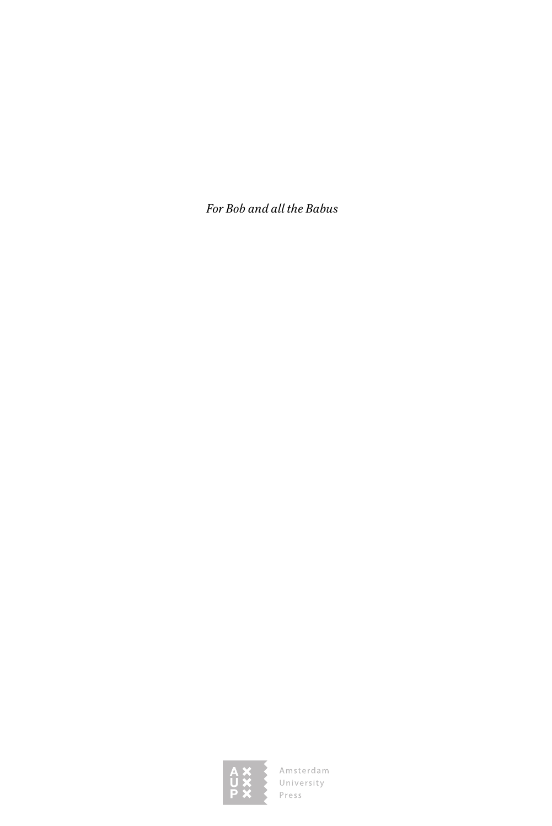*For Bob and all the Babus*

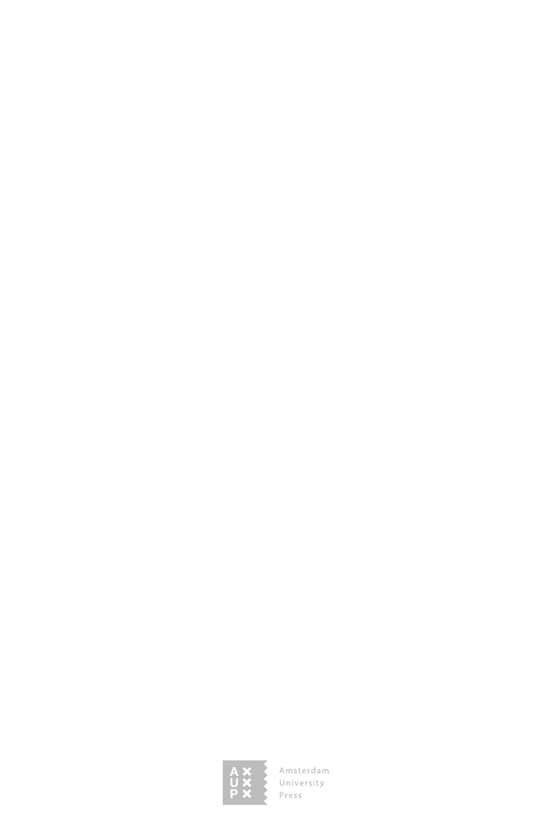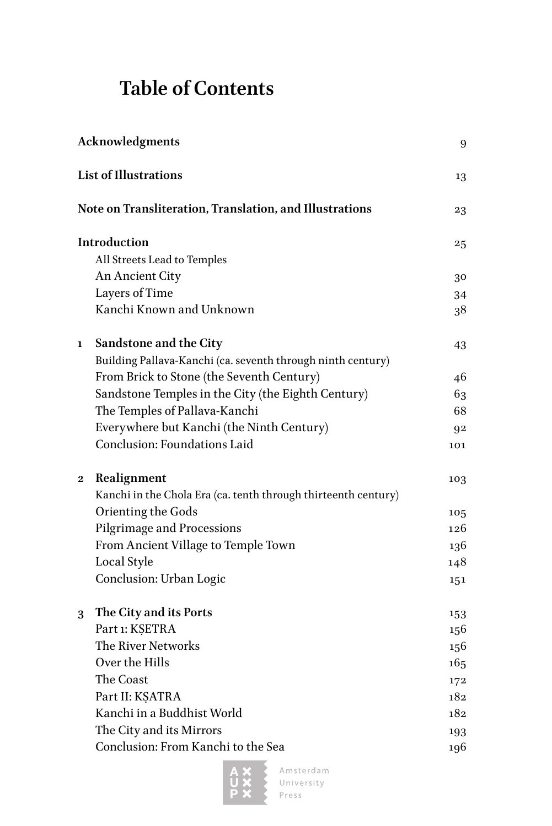### **Table of Contents**

|          | Acknowledgments                                                | 9   |
|----------|----------------------------------------------------------------|-----|
|          | <b>List of Illustrations</b>                                   | 13  |
|          | Note on Transliteration, Translation, and Illustrations        |     |
|          | Introduction                                                   | 25  |
|          | All Streets Lead to Temples                                    |     |
|          | An Ancient City                                                | 30  |
|          | Layers of Time                                                 | 34  |
|          | Kanchi Known and Unknown                                       | 38  |
| 1        | Sandstone and the City                                         | 43  |
|          | Building Pallava-Kanchi (ca. seventh through ninth century)    |     |
|          | From Brick to Stone (the Seventh Century)                      | 46  |
|          | Sandstone Temples in the City (the Eighth Century)             | 63  |
|          | The Temples of Pallava-Kanchi                                  | 68  |
|          | Everywhere but Kanchi (the Ninth Century)                      | 92  |
|          | Conclusion: Foundations Laid                                   | 101 |
| $\bf{2}$ | Realignment                                                    | 103 |
|          | Kanchi in the Chola Era (ca. tenth through thirteenth century) |     |
|          | Orienting the Gods                                             | 105 |
|          | Pilgrimage and Processions                                     | 126 |
|          | From Ancient Village to Temple Town                            | 136 |
|          | Local Style                                                    | 148 |
|          | Conclusion: Urban Logic                                        | 151 |
| 3        | The City and its Ports                                         | 153 |
|          | Part 1: KŞETRA                                                 | 156 |
|          | The River Networks                                             | 156 |
|          | Over the Hills                                                 | 165 |
|          | The Coast                                                      | 172 |
|          | Part II: KŞATRA                                                | 182 |
|          | Kanchi in a Buddhist World                                     | 182 |
|          | The City and its Mirrors                                       | 193 |
|          | Conclusion: From Kanchi to the Sea                             | 196 |
|          |                                                                |     |

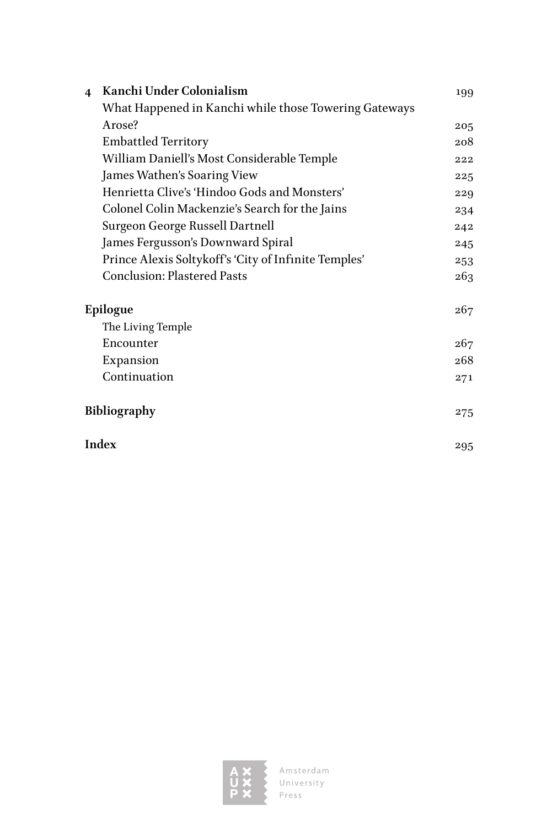| $\overline{\mathbf{4}}$           | Kanchi Under Colonialism                                                                   | 199 |  |
|-----------------------------------|--------------------------------------------------------------------------------------------|-----|--|
|                                   | What Happened in Kanchi while those Towering Gateways                                      |     |  |
|                                   | Arose?                                                                                     | 205 |  |
|                                   | <b>Embattled Territory</b>                                                                 | 208 |  |
|                                   | William Daniell's Most Considerable Temple                                                 | 222 |  |
|                                   | James Wathen's Soaring View                                                                |     |  |
|                                   | Henrietta Clive's 'Hindoo Gods and Monsters'                                               | 229 |  |
|                                   | Colonel Colin Mackenzie's Search for the Jains                                             | 234 |  |
|                                   | Surgeon George Russell Dartnell                                                            | 242 |  |
| James Fergusson's Downward Spiral |                                                                                            | 245 |  |
|                                   | Prince Alexis Soltykoff's 'City of Infinite Temples'<br><b>Conclusion: Plastered Pasts</b> |     |  |
|                                   |                                                                                            |     |  |
|                                   | Epilogue                                                                                   | 267 |  |
|                                   | The Living Temple                                                                          |     |  |
|                                   | Encounter                                                                                  | 267 |  |
|                                   | Expansion                                                                                  | 268 |  |
|                                   | Continuation                                                                               | 271 |  |
|                                   | Bibliography                                                                               |     |  |
|                                   | Index                                                                                      |     |  |

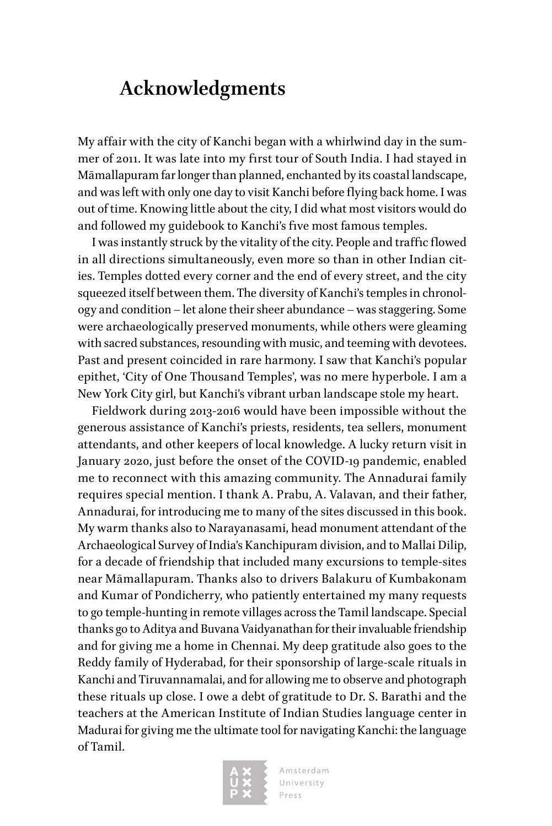### <span id="page-9-0"></span>**Acknowledgments**

My affair with the city of Kanchi began with a whirlwind day in the summer of 2011. It was late into my first tour of South India. I had stayed in Māmallapuram far longer than planned, enchanted by its coastal landscape, and was left with only one day to visit Kanchi before flying back home. I was out of time. Knowing little about the city, I did what most visitors would do and followed my guidebook to Kanchi's five most famous temples.

I was instantly struck by the vitality of the city. People and traffic flowed in all directions simultaneously, even more so than in other Indian cities. Temples dotted every corner and the end of every street, and the city squeezed itself between them. The diversity of Kanchi's temples in chronology and condition – let alone their sheer abundance – was staggering. Some were archaeologically preserved monuments, while others were gleaming with sacred substances, resounding with music, and teeming with devotees. Past and present coincided in rare harmony. I saw that Kanchi's popular epithet, 'City of One Thousand Temples', was no mere hyperbole. I am a New York City girl, but Kanchi's vibrant urban landscape stole my heart.

Fieldwork during 2013-2016 would have been impossible without the generous assistance of Kanchi's priests, residents, tea sellers, monument attendants, and other keepers of local knowledge. A lucky return visit in January 2020, just before the onset of the COVID-19 pandemic, enabled me to reconnect with this amazing community. The Annadurai family requires special mention. I thank A. Prabu, A. Valavan, and their father, Annadurai, for introducing me to many of the sites discussed in this book. My warm thanks also to Narayanasami, head monument attendant of the Archaeological Survey of India's Kanchipuram division, and to Mallai Dilip, for a decade of friendship that included many excursions to temple-sites near Māmallapuram. Thanks also to drivers Balakuru of Kumbakonam and Kumar of Pondicherry, who patiently entertained my many requests to go temple-hunting in remote villages across the Tamil landscape. Special thanks go to Aditya and Buvana Vaidyanathan for their invaluable friendship and for giving me a home in Chennai. My deep gratitude also goes to the Reddy family of Hyderabad, for their sponsorship of large-scale rituals in Kanchi and Tiruvannamalai, and for allowing me to observe and photograph these rituals up close. I owe a debt of gratitude to Dr. S. Barathi and the teachers at the American Institute of Indian Studies language center in Madurai for giving me the ultimate tool for navigating Kanchi: the language of Tamil.

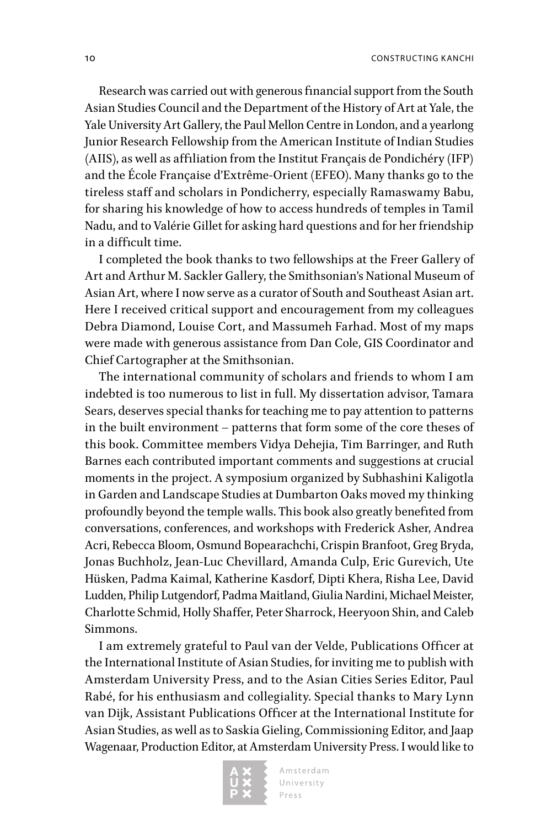Research was carried out with generous financial support from the South Asian Studies Council and the Department of the History of Art at Yale, the Yale University Art Gallery, the Paul Mellon Centre in London, and a yearlong Junior Research Fellowship from the American Institute of Indian Studies (AIIS), as well as affiliation from the Institut Français de Pondichéry (IFP) and the École Française d'Extrême-Orient (EFEO). Many thanks go to the tireless staff and scholars in Pondicherry, especially Ramaswamy Babu, for sharing his knowledge of how to access hundreds of temples in Tamil Nadu, and to Valérie Gillet for asking hard questions and for her friendship in a difficult time.

I completed the book thanks to two fellowships at the Freer Gallery of Art and Arthur M. Sackler Gallery, the Smithsonian's National Museum of Asian Art, where I now serve as a curator of South and Southeast Asian art. Here I received critical support and encouragement from my colleagues Debra Diamond, Louise Cort, and Massumeh Farhad. Most of my maps were made with generous assistance from Dan Cole, GIS Coordinator and Chief Cartographer at the Smithsonian.

The international community of scholars and friends to whom I am indebted is too numerous to list in full. My dissertation advisor, Tamara Sears, deserves special thanks for teaching me to pay attention to patterns in the built environment – patterns that form some of the core theses of this book. Committee members Vidya Dehejia, Tim Barringer, and Ruth Barnes each contributed important comments and suggestions at crucial moments in the project. A symposium organized by Subhashini Kaligotla in Garden and Landscape Studies at Dumbarton Oaks moved my thinking profoundly beyond the temple walls. This book also greatly benefited from conversations, conferences, and workshops with Frederick Asher, Andrea Acri, Rebecca Bloom, Osmund Bopearachchi, Crispin Branfoot, Greg Bryda, Jonas Buchholz, Jean-Luc Chevillard, Amanda Culp, Eric Gurevich, Ute Hüsken, Padma Kaimal, Katherine Kasdorf, Dipti Khera, Risha Lee, David Ludden, Philip Lutgendorf, Padma Maitland, Giulia Nardini, Michael Meister, Charlotte Schmid, Holly Shaffer, Peter Sharrock, Heeryoon Shin, and Caleb Simmons.

I am extremely grateful to Paul van der Velde, Publications Officer at the International Institute of Asian Studies, for inviting me to publish with Amsterdam University Press, and to the Asian Cities Series Editor, Paul Rabé, for his enthusiasm and collegiality. Special thanks to Mary Lynn van Dijk, Assistant Publications Officer at the International Institute for Asian Studies, as well as to Saskia Gieling, Commissioning Editor, and Jaap Wagenaar, Production Editor, at Amsterdam University Press. I would like to

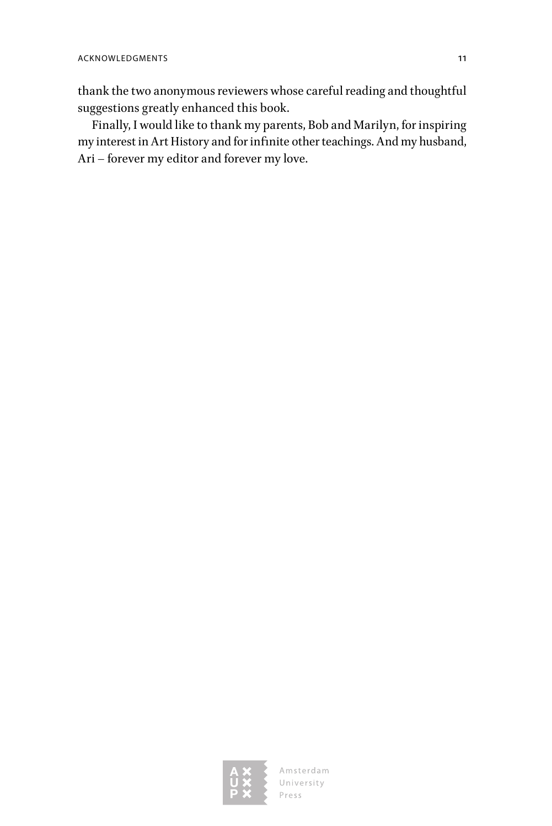thank the two anonymous reviewers whose careful reading and thoughtful suggestions greatly enhanced this book.

Finally, I would like to thank my parents, Bob and Marilyn, for inspiring my interest in Art History and for infinite other teachings. And my husband, Ari – forever my editor and forever my love.

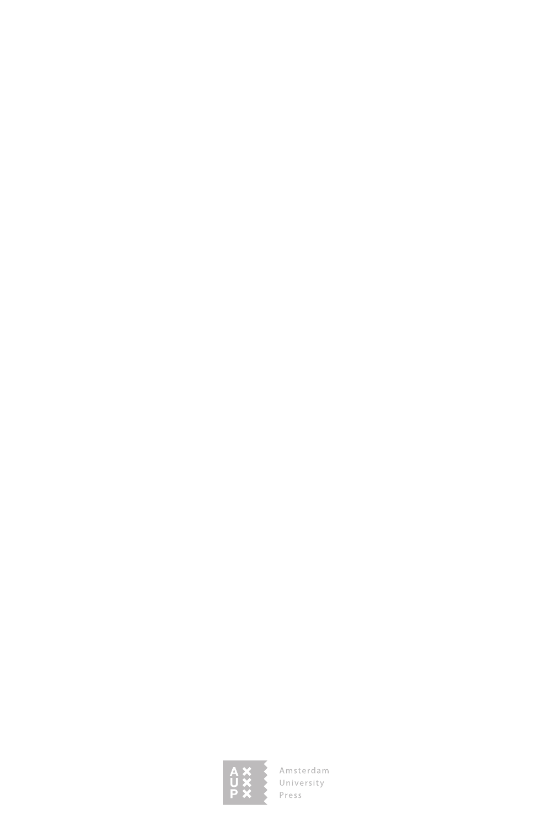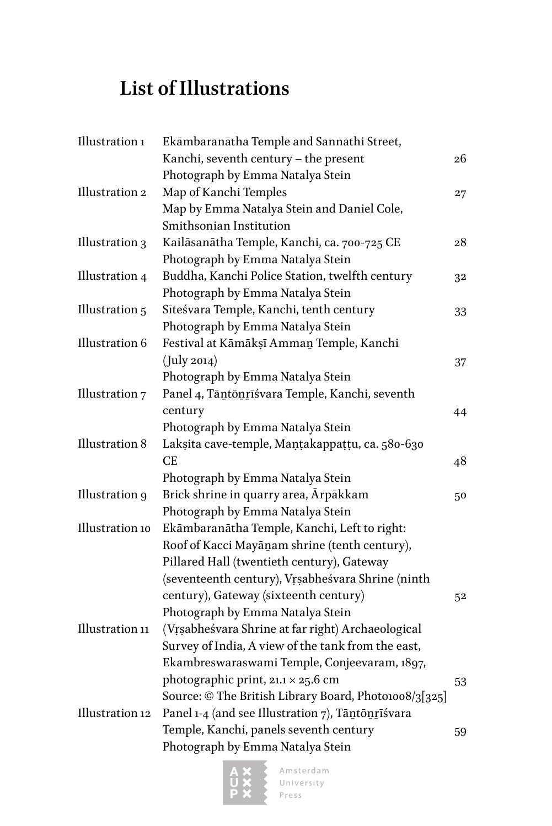### <span id="page-13-0"></span>**List of Illustrations**

| Illustration 1  | Ekāmbaranātha Temple and Sannathi Street,             |    |
|-----------------|-------------------------------------------------------|----|
|                 | Kanchi, seventh century - the present                 | 26 |
|                 | Photograph by Emma Natalya Stein                      |    |
| Illustration 2  | Map of Kanchi Temples                                 | 27 |
|                 | Map by Emma Natalya Stein and Daniel Cole,            |    |
|                 | Smithsonian Institution                               |    |
| Illustration 3  | Kailāsanātha Temple, Kanchi, ca. 700-725 CE           | 28 |
|                 | Photograph by Emma Natalya Stein                      |    |
| Illustration 4  | Buddha, Kanchi Police Station, twelfth century        | 32 |
|                 | Photograph by Emma Natalya Stein                      |    |
| Illustration 5  | Sīteśvara Temple, Kanchi, tenth century               | 33 |
|                 | Photograph by Emma Natalya Stein                      |    |
| Illustration 6  | Festival at Kāmākșī Amman Temple, Kanchi              |    |
|                 | $(\mathrm{July\,2014})$                               | 37 |
|                 | Photograph by Emma Natalya Stein                      |    |
| Illustration 7  | Panel 4, Tāntōnrīśvara Temple, Kanchi, seventh        |    |
|                 | century                                               | 44 |
|                 | Photograph by Emma Natalya Stein                      |    |
| Illustration 8  | Lakșita cave-temple, Manțakappațțu, ca. 580-630       |    |
|                 | CE                                                    | 48 |
|                 | Photograph by Emma Natalya Stein                      |    |
| Illustration 9  | Brick shrine in quarry area, Ārpākkam                 | 50 |
|                 | Photograph by Emma Natalya Stein                      |    |
| Illustration 10 | Ekāmbaranātha Temple, Kanchi, Left to right:          |    |
|                 | Roof of Kacci Mayānam shrine (tenth century),         |    |
|                 | Pillared Hall (twentieth century), Gateway            |    |
|                 | (seventeenth century), Vrșabheśvara Shrine (ninth     |    |
|                 | century), Gateway (sixteenth century)                 | 52 |
|                 | Photograph by Emma Natalya Stein                      |    |
| Illustration 11 | (Vrsabheśvara Shrine at far right) Archaeological     |    |
|                 | Survey of India, A view of the tank from the east,    |    |
|                 | Ekambreswaraswami Temple, Conjeevaram, 1897,          |    |
|                 | photographic print, $21.1 \times 25.6$ cm             | 53 |
|                 | Source: © The British Library Board, Photo1008/3[325] |    |
| Illustration 12 | Panel 1-4 (and see Illustration 7), Tāntōnrīśvara     |    |
|                 | Temple, Kanchi, panels seventh century                | 59 |
|                 | Photograph by Emma Natalya Stein                      |    |

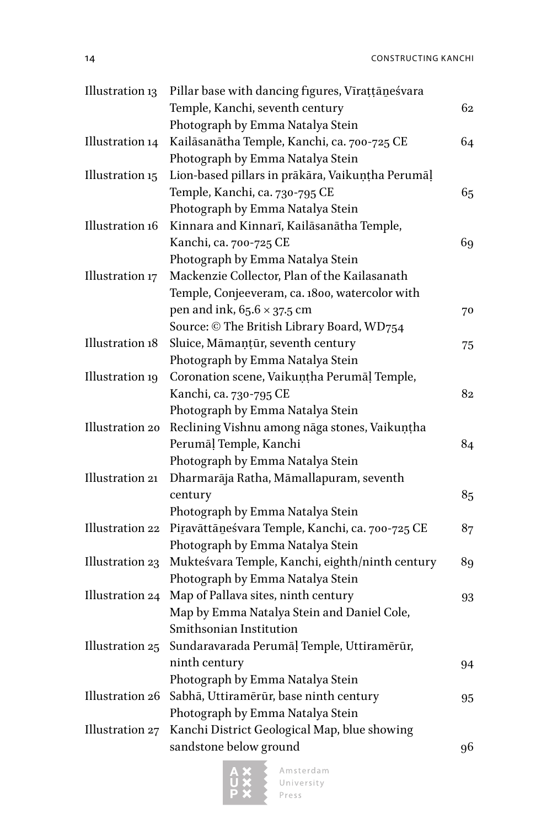| Illustration 13 | Pillar base with dancing figures, Vīrațțāneśvara |    |
|-----------------|--------------------------------------------------|----|
|                 | Temple, Kanchi, seventh century                  | 62 |
|                 | Photograph by Emma Natalya Stein                 |    |
| Illustration 14 | Kailāsanātha Temple, Kanchi, ca. 700-725 CE      | 64 |
|                 | Photograph by Emma Natalya Stein                 |    |
| Illustration 15 | Lion-based pillars in prākāra, Vaikuņțha Perumāļ |    |
|                 | Temple, Kanchi, ca. 730-795 CE                   | 65 |
|                 | Photograph by Emma Natalya Stein                 |    |
| Illustration 16 | Kinnara and Kinnarī, Kailāsanātha Temple,        |    |
|                 | Kanchi, ca. 700-725 CE                           | 69 |
|                 | Photograph by Emma Natalya Stein                 |    |
| Illustration 17 | Mackenzie Collector, Plan of the Kailasanath     |    |
|                 | Temple, Conjeeveram, ca. 1800, watercolor with   |    |
|                 | pen and ink, $65.6 \times 37.5$ cm               | 70 |
|                 | Source: © The British Library Board, WD754       |    |
| Illustration 18 | Sluice, Māmaņțūr, seventh century                | 75 |
|                 | Photograph by Emma Natalya Stein                 |    |
| Illustration 19 | Coronation scene, Vaikuņțha Perumāļ Temple,      |    |
|                 | Kanchi, ca. 730-795 CE                           | 82 |
|                 | Photograph by Emma Natalya Stein                 |    |
| Illustration 20 | Reclining Vishnu among nāga stones, Vaikuņțha    |    |
|                 | Perumāļ Temple, Kanchi                           | 84 |
|                 | Photograph by Emma Natalya Stein                 |    |
| Illustration 21 | Dharmarāja Ratha, Māmallapuram, seventh          |    |
|                 | century                                          | 85 |
|                 | Photograph by Emma Natalya Stein                 |    |
| Illustration 22 | Piravāttāneśvara Temple, Kanchi, ca. 700-725 CE  | 87 |
|                 | Photograph by Emma Natalya Stein                 |    |
| Illustration 23 | Mukteśvara Temple, Kanchi, eighth/ninth century  | 89 |
|                 | Photograph by Emma Natalya Stein                 |    |
| Illustration 24 | Map of Pallava sites, ninth century              | 93 |
|                 | Map by Emma Natalya Stein and Daniel Cole,       |    |
|                 | Smithsonian Institution                          |    |
| Illustration 25 | Sundaravarada Perumāļ Temple, Uttiramērūr,       |    |
|                 | ninth century                                    | 94 |
|                 | Photograph by Emma Natalya Stein                 |    |
| Illustration 26 | Sabhā, Uttiramērūr, base ninth century           | 95 |
|                 | Photograph by Emma Natalya Stein                 |    |
| Illustration 27 | Kanchi District Geological Map, blue showing     |    |
|                 | sandstone below ground                           | 96 |

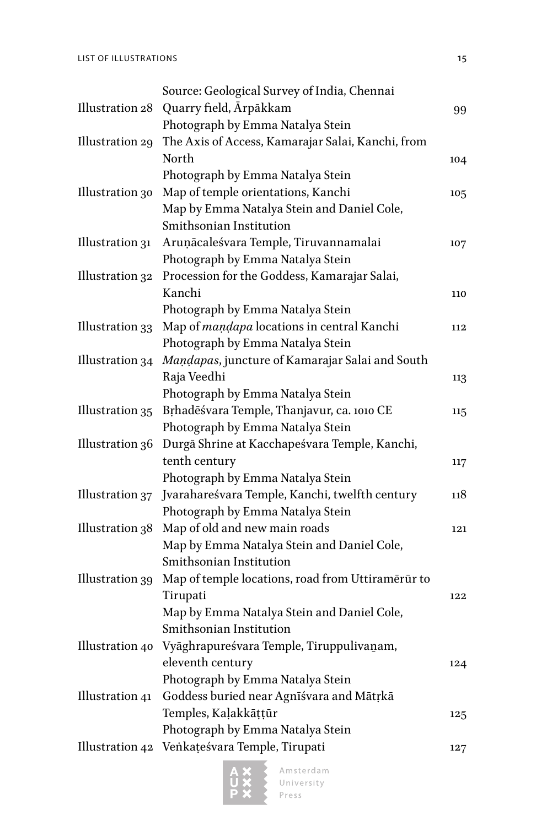LIST OF ILLUSTRATIONS 15

|                 | Source: Geological Survey of India, Chennai       |     |
|-----------------|---------------------------------------------------|-----|
| Illustration 28 | Quarry field, Arpākkam                            | 99  |
|                 | Photograph by Emma Natalya Stein                  |     |
| Illustration 29 | The Axis of Access, Kamarajar Salai, Kanchi, from |     |
|                 | North                                             | 104 |
|                 | Photograph by Emma Natalya Stein                  |     |
| Illustration 30 | Map of temple orientations, Kanchi                | 105 |
|                 | Map by Emma Natalya Stein and Daniel Cole,        |     |
|                 | Smithsonian Institution                           |     |
| Illustration 31 | Aruņācaleśvara Temple, Tiruvannamalai             | 107 |
|                 | Photograph by Emma Natalya Stein                  |     |
| Illustration 32 | Procession for the Goddess, Kamarajar Salai,      |     |
|                 | Kanchi                                            | 110 |
|                 | Photograph by Emma Natalya Stein                  |     |
| Illustration 33 | Map of mandapa locations in central Kanchi        | 112 |
|                 | Photograph by Emma Natalya Stein                  |     |
| Illustration 34 | Mandapas, juncture of Kamarajar Salai and South   |     |
|                 | Raja Veedhi                                       | 113 |
|                 | Photograph by Emma Natalya Stein                  |     |
| Illustration 35 | Brhadēśvara Temple, Thanjavur, ca. 1010 CE        | 115 |
|                 | Photograph by Emma Natalya Stein                  |     |
| Illustration 36 | Durgā Shrine at Kacchapeśvara Temple, Kanchi,     |     |
|                 | tenth century                                     | 117 |
|                 | Photograph by Emma Natalya Stein                  |     |
| Illustration 37 | Jvarahareśvara Temple, Kanchi, twelfth century    | 118 |
|                 | Photograph by Emma Natalya Stein                  |     |
| Illustration 38 | Map of old and new main roads                     | 121 |
|                 | Map by Emma Natalya Stein and Daniel Cole,        |     |
|                 | Smithsonian Institution                           |     |
| Illustration 39 | Map of temple locations, road from Uttiramerūr to |     |
|                 | Tirupati                                          | 122 |
|                 | Map by Emma Natalya Stein and Daniel Cole,        |     |
|                 | Smithsonian Institution                           |     |
| Illustration 40 | Vyāghrapureśvara Temple, Tiruppulivanam,          |     |
|                 | eleventh century                                  | 124 |
|                 | Photograph by Emma Natalya Stein                  |     |
| Illustration 41 | Goddess buried near Agnīśvara and Mātrkā          |     |
|                 | Temples, Kaļakkāțțūr                              | 125 |
|                 | Photograph by Emma Natalya Stein                  |     |
| Illustration 42 | Venkațeśvara Temple, Tirupati                     | 127 |

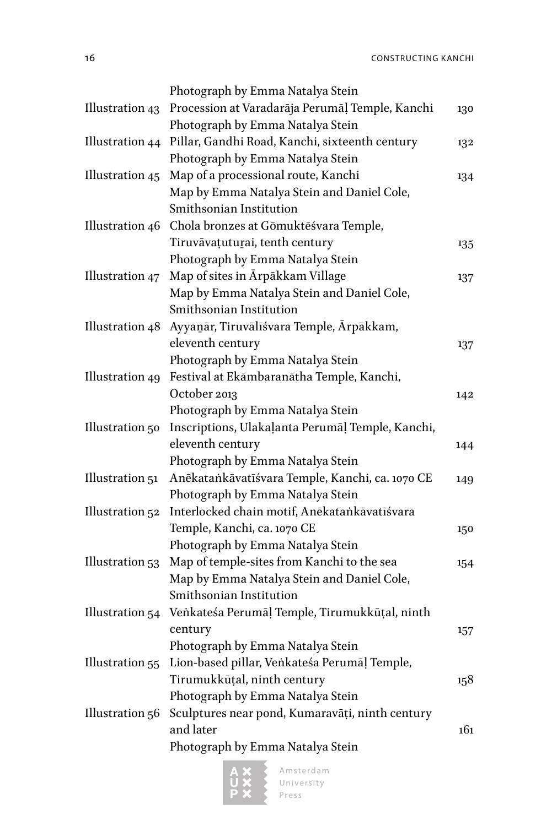|                 | Photograph by Emma Natalya Stein                      |     |
|-----------------|-------------------------------------------------------|-----|
| Illustration 43 | Procession at Varadarāja Perumāļ Temple, Kanchi       | 130 |
|                 | Photograph by Emma Natalya Stein                      |     |
| Illustration 44 | Pillar, Gandhi Road, Kanchi, sixteenth century        | 132 |
|                 | Photograph by Emma Natalya Stein                      |     |
| Illustration 45 | Map of a processional route, Kanchi                   | 134 |
|                 | Map by Emma Natalya Stein and Daniel Cole,            |     |
|                 | Smithsonian Institution                               |     |
|                 | Illustration 46 Chola bronzes at Gōmuktēśvara Temple, |     |
|                 | Tiruvāvațuturai, tenth century                        | 135 |
|                 | Photograph by Emma Natalya Stein                      |     |
| Illustration 47 | Map of sites in Arpākkam Village                      | 137 |
|                 | Map by Emma Natalya Stein and Daniel Cole,            |     |
|                 | Smithsonian Institution                               |     |
| Illustration 48 | Ayyanār, Tiruvālīśvara Temple, Ārpākkam,              |     |
|                 | eleventh century                                      | 137 |
|                 | Photograph by Emma Natalya Stein                      |     |
| Illustration 49 | Festival at Ekāmbaranātha Temple, Kanchi,             |     |
|                 | October 2013                                          | 142 |
|                 | Photograph by Emma Natalya Stein                      |     |
| Illustration 50 | Inscriptions, Ulakaļanta Perumāļ Temple, Kanchi,      |     |
|                 | eleventh century                                      | 144 |
|                 | Photograph by Emma Natalya Stein                      |     |
| Illustration 51 | Anēkatankāvatīśvara Temple, Kanchi, ca. 1070 CE       | 149 |
|                 | Photograph by Emma Natalya Stein                      |     |
| Illustration 52 | Interlocked chain motif, Anēkatankāvatīśvara          |     |
|                 | Temple, Kanchi, ca. 1070 CE                           | 150 |
|                 | Photograph by Emma Natalya Stein                      |     |
| Illustration 53 | Map of temple-sites from Kanchi to the sea            | 154 |
|                 | Map by Emma Natalya Stein and Daniel Cole,            |     |
|                 | Smithsonian Institution                               |     |
| Illustration 54 | Venkateśa Perumāļ Temple, Tirumukkūțal, ninth         |     |
|                 | century                                               | 157 |
|                 | Photograph by Emma Natalya Stein                      |     |
| Illustration 55 | Lion-based pillar, Venkateśa Perumāļ Temple,          |     |
|                 | Tirumukkūțal, ninth century                           | 158 |
|                 | Photograph by Emma Natalya Stein                      |     |
| Illustration 56 | Sculptures near pond, Kumaravāți, ninth century       |     |
|                 | and later                                             | 161 |
|                 | Photograph by Emma Natalya Stein                      |     |

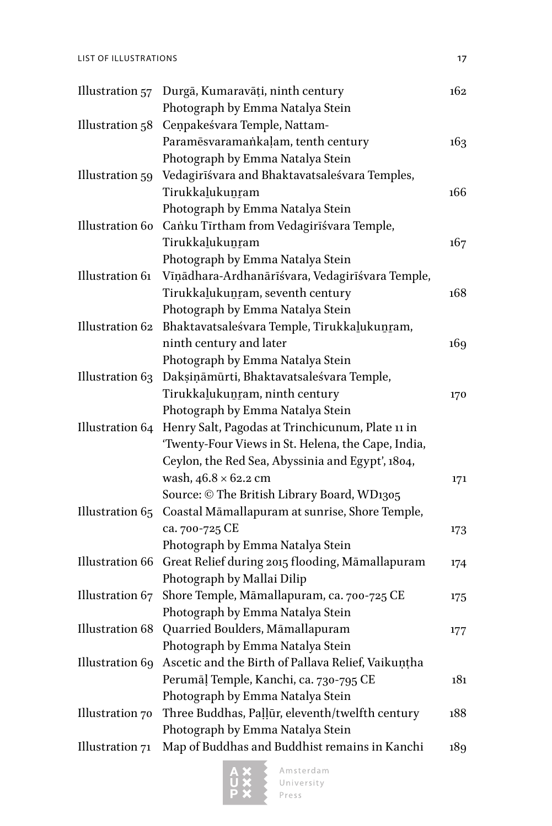LIST OF ILLUSTRATIONS 17

| Illustration 57 | Durgā, Kumaravāți, ninth century                   | 162 |
|-----------------|----------------------------------------------------|-----|
|                 | Photograph by Emma Natalya Stein                   |     |
| Illustration 58 | Cenpakeśvara Temple, Nattam-                       |     |
|                 | Paramēsvaramankaļam, tenth century                 | 163 |
|                 | Photograph by Emma Natalya Stein                   |     |
| Illustration 59 | Vedagirīśvara and Bhaktavatsaleśvara Temples,      |     |
|                 | Tirukkalukunram                                    | 166 |
|                 | Photograph by Emma Natalya Stein                   |     |
| Illustration 60 | Canku Tīrtham from Vedagirīśvara Temple,           |     |
|                 | Tirukkalukunram                                    | 167 |
|                 | Photograph by Emma Natalya Stein                   |     |
| Illustration 61 | Vīņādhara-Ardhanārīśvara, Vedagirīśvara Temple,    |     |
|                 | Tirukkalukunram, seventh century                   | 168 |
|                 | Photograph by Emma Natalya Stein                   |     |
| Illustration 62 | Bhaktavatsaleśvara Temple, Tirukkalukunram,        |     |
|                 | ninth century and later                            | 169 |
|                 | Photograph by Emma Natalya Stein                   |     |
| Illustration 63 | Dakșiņāmūrti, Bhaktavatsaleśvara Temple,           |     |
|                 | Tirukkalukunram, ninth century                     | 170 |
|                 | Photograph by Emma Natalya Stein                   |     |
| Illustration 64 | Henry Salt, Pagodas at Trinchicunum, Plate 11 in   |     |
|                 | 'Twenty-Four Views in St. Helena, the Cape, India, |     |
|                 | Ceylon, the Red Sea, Abyssinia and Egypt', 1804,   |     |
|                 | wash, $46.8 \times 62.2$ cm                        | 171 |
|                 | Source: © The British Library Board, WD1305        |     |
| Illustration 65 | Coastal Māmallapuram at sunrise, Shore Temple,     |     |
|                 | ca. 700-725 CE                                     | 173 |
|                 | Photograph by Emma Natalya Stein                   |     |
| Illustration 66 | Great Relief during 2015 flooding, Māmallapuram    | 174 |
|                 | Photograph by Mallai Dilip                         |     |
| Illustration 67 | Shore Temple, Māmallapuram, ca. 700-725 CE         | 175 |
|                 | Photograph by Emma Natalya Stein                   |     |
| Illustration 68 | Quarried Boulders, Māmallapuram                    | 177 |
|                 | Photograph by Emma Natalya Stein                   |     |
| Illustration 69 | Ascetic and the Birth of Pallava Relief, Vaikuntha |     |
|                 | Perumāļ Temple, Kanchi, ca. 730-795 CE             | 181 |
|                 | Photograph by Emma Natalya Stein                   |     |
| Illustration 70 | Three Buddhas, Pallur, eleventh/twelfth century    | 188 |
|                 | Photograph by Emma Natalya Stein                   |     |
| Illustration 71 | Map of Buddhas and Buddhist remains in Kanchi      | 189 |
|                 |                                                    |     |

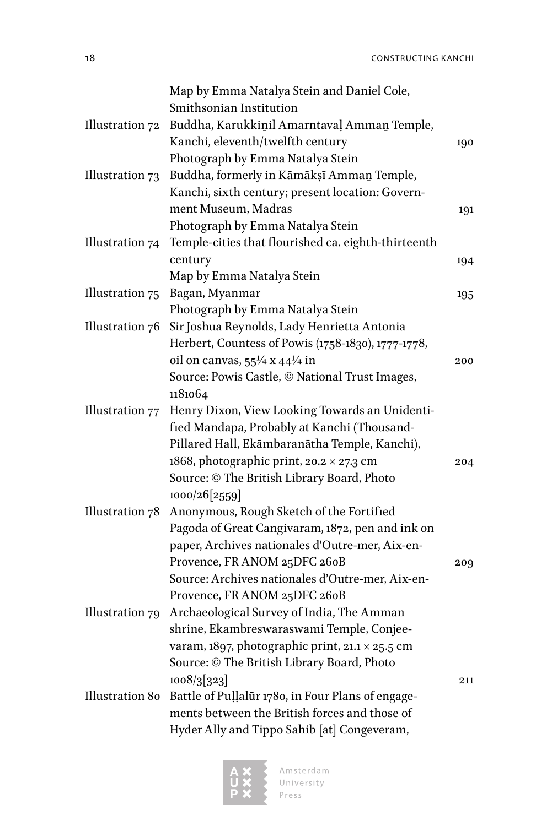|                 | Map by Emma Natalya Stein and Daniel Cole,          |     |
|-----------------|-----------------------------------------------------|-----|
|                 | Smithsonian Institution                             |     |
| Illustration 72 | Buddha, Karukkinil Amarntaval Amman Temple,         |     |
|                 | Kanchi, eleventh/twelfth century                    | 190 |
|                 | Photograph by Emma Natalya Stein                    |     |
| Illustration 73 | Buddha, formerly in Kāmākṣī Amman Temple,           |     |
|                 | Kanchi, sixth century; present location: Govern-    |     |
|                 | ment Museum, Madras                                 | 191 |
|                 | Photograph by Emma Natalya Stein                    |     |
| Illustration 74 | Temple-cities that flourished ca. eighth-thirteenth |     |
|                 | century                                             | 194 |
|                 | Map by Emma Natalya Stein                           |     |
| Illustration 75 | Bagan, Myanmar                                      | 195 |
|                 | Photograph by Emma Natalya Stein                    |     |
| Illustration 76 | Sir Joshua Reynolds, Lady Henrietta Antonia         |     |
|                 | Herbert, Countess of Powis (1758-1830), 1777-1778,  |     |
|                 | oil on canvas, $55\frac{1}{4}$ x $44\frac{1}{4}$ in | 200 |
|                 | Source: Powis Castle, © National Trust Images,      |     |
|                 | 1181064                                             |     |
| Illustration 77 | Henry Dixon, View Looking Towards an Unidenti-      |     |
|                 | fied Mandapa, Probably at Kanchi (Thousand-         |     |
|                 | Pillared Hall, Ekāmbaranātha Temple, Kanchi),       |     |
|                 | 1868, photographic print, 20.2 × 27.3 cm            | 204 |
|                 | Source: © The British Library Board, Photo          |     |
|                 | 1000/26[2559]                                       |     |
| Illustration 78 | Anonymous, Rough Sketch of the Fortified            |     |
|                 | Pagoda of Great Cangivaram, 1872, pen and ink on    |     |
|                 | paper, Archives nationales d'Outre-mer, Aix-en-     |     |
|                 | Provence, FR ANOM 25DFC 260B                        | 209 |
|                 | Source: Archives nationales d'Outre-mer, Aix-en-    |     |
|                 | Provence, FR ANOM 25DFC 260B                        |     |
| Illustration 79 | Archaeological Survey of India, The Amman           |     |
|                 | shrine, Ekambreswaraswami Temple, Conjee-           |     |
|                 | varam, 1897, photographic print, 21.1 × 25.5 cm     |     |
|                 | Source: © The British Library Board, Photo          |     |
|                 | 1008/3[323]                                         | 211 |
| Illustration 80 | Battle of Pullalūr 1780, in Four Plans of engage-   |     |
|                 | ments between the British forces and those of       |     |
|                 | Hyder Ally and Tippo Sahib [at] Congeveram,         |     |

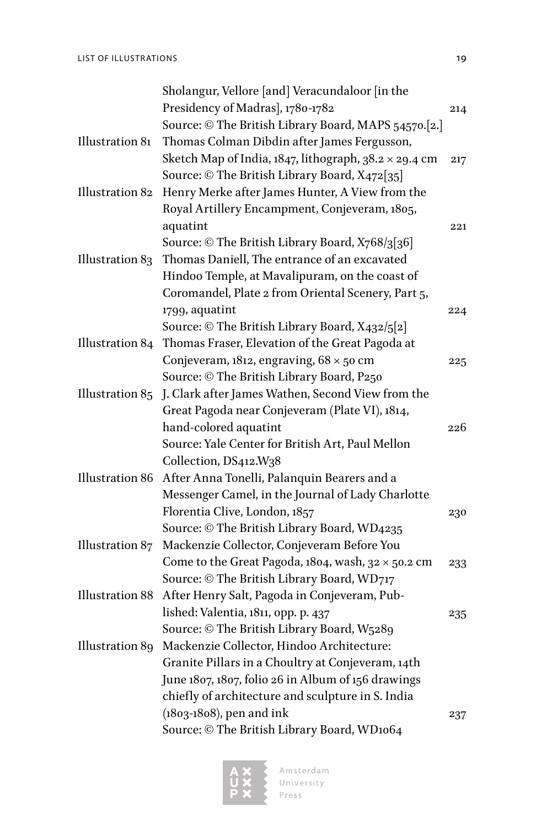LIST OF ILLUSTRATIONS **19** 

|                        | Sholangur, Vellore [and] Veracundaloor [in the            |     |
|------------------------|-----------------------------------------------------------|-----|
|                        | Presidency of Madras], 1780-1782                          | 214 |
|                        | Source: © The British Library Board, MAPS 54570.[2.]      |     |
| Illustration 81        | Thomas Colman Dibdin after James Fergusson,               |     |
|                        | Sketch Map of India, 1847, lithograph, 38.2 × 29.4 cm     | 217 |
|                        | Source: © The British Library Board, X472[35]             |     |
| Illustration 82        | Henry Merke after James Hunter, A View from the           |     |
|                        | Royal Artillery Encampment, Conjeveram, 1805,             |     |
|                        | aquatint                                                  | 221 |
|                        | Source: © The British Library Board, X768/3[36]           |     |
| Illustration 83        | Thomas Daniell, The entrance of an excavated              |     |
|                        | Hindoo Temple, at Mavalipuram, on the coast of            |     |
|                        | Coromandel, Plate 2 from Oriental Scenery, Part 5,        |     |
|                        | 1799, aquatint                                            | 224 |
|                        | Source: © The British Library Board, X432/5[2]            |     |
| Illustration 84        | Thomas Fraser, Elevation of the Great Pagoda at           |     |
|                        | Conjeveram, 1812, engraving, $68 \times 50$ cm            | 225 |
|                        | Source: © The British Library Board, P250                 |     |
| Illustration 85        | J. Clark after James Wathen, Second View from the         |     |
|                        | Great Pagoda near Conjeveram (Plate VI), 1814,            |     |
|                        | hand-colored aquatint                                     | 226 |
|                        | Source: Yale Center for British Art, Paul Mellon          |     |
|                        | Collection, DS412.W38                                     |     |
| Illustration 86        | After Anna Tonelli, Palanquin Bearers and a               |     |
|                        | Messenger Camel, in the Journal of Lady Charlotte         |     |
|                        | Florentia Clive, London, 1857                             | 230 |
|                        | Source: © The British Library Board, WD4235               |     |
| Illustration 87        | Mackenzie Collector, Conjeveram Before You                |     |
|                        | Come to the Great Pagoda, 1804, wash, $32 \times 50.2$ cm | 233 |
|                        | Source: © The British Library Board, WD717                |     |
| <b>Illustration 88</b> | After Henry Salt, Pagoda in Conjeveram, Pub-              |     |
|                        | lished: Valentia, 1811, opp. p. 437                       | 235 |
|                        | Source: © The British Library Board, W5289                |     |
| Illustration 89        | Mackenzie Collector, Hindoo Architecture:                 |     |
|                        | Granite Pillars in a Choultry at Conjeveram, 14th         |     |
|                        | June 1807, 1807, folio 26 in Album of 156 drawings        |     |
|                        | chiefly of architecture and sculpture in S. India         |     |
|                        | (1803-1808), pen and ink                                  | 237 |
|                        | Source: © The British Library Board, WD1064               |     |

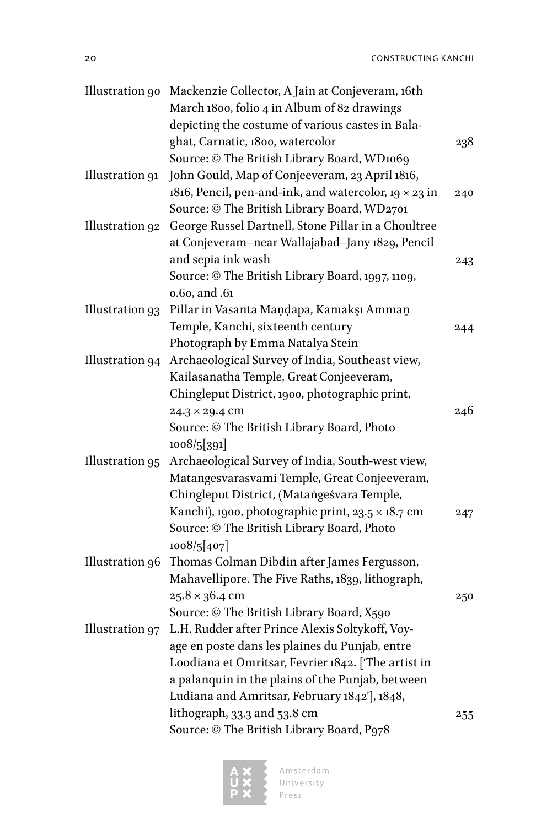| Illustration 90 | Mackenzie Collector, A Jain at Conjeveram, 16th              |     |
|-----------------|--------------------------------------------------------------|-----|
|                 | March 1800, folio 4 in Album of 82 drawings                  |     |
|                 | depicting the costume of various castes in Bala-             |     |
|                 | ghat, Carnatic, 1800, watercolor                             | 238 |
|                 | Source: © The British Library Board, WD1069                  |     |
| Illustration 91 | John Gould, Map of Conjeeveram, 23 April 1816,               |     |
|                 | 1816, Pencil, pen-and-ink, and watercolor, $19 \times 23$ in | 240 |
|                 | Source: © The British Library Board, WD2701                  |     |
| Illustration 92 | George Russel Dartnell, Stone Pillar in a Choultree          |     |
|                 | at Conjeveram-near Wallajabad-Jany 1829, Pencil              |     |
|                 | and sepia ink wash                                           | 243 |
|                 | Source: © The British Library Board, 1997, 1109,             |     |
|                 | 0.60, and .61                                                |     |
| Illustration 93 | Pillar in Vasanta Maṇḍapa, Kāmākṣī Amman                     |     |
|                 | Temple, Kanchi, sixteenth century                            | 244 |
|                 | Photograph by Emma Natalya Stein                             |     |
| Illustration 94 | Archaeological Survey of India, Southeast view,              |     |
|                 | Kailasanatha Temple, Great Conjeeveram,                      |     |
|                 | Chingleput District, 1900, photographic print,               |     |
|                 | $24.3 \times 29.4$ cm                                        | 246 |
|                 | Source: © The British Library Board, Photo                   |     |
|                 | 1008/5[391]                                                  |     |
| Illustration 95 | Archaeological Survey of India, South-west view,             |     |
|                 | Matangesvarasvami Temple, Great Conjeeveram,                 |     |
|                 | Chingleput District, (Matangeśvara Temple,                   |     |
|                 | Kanchi), 1900, photographic print, 23.5 × 18.7 cm            | 247 |
|                 | Source: © The British Library Board, Photo                   |     |
|                 | 1008/5[407]                                                  |     |
| Illustration 96 | Thomas Colman Dibdin after James Fergusson,                  |     |
|                 | Mahavellipore. The Five Raths, 1839, lithograph,             |     |
|                 | $25.8 \times 36.4$ cm                                        | 250 |
|                 | Source: © The British Library Board, X590                    |     |
| Illustration 97 | L.H. Rudder after Prince Alexis Soltykoff, Voy-              |     |
|                 | age en poste dans les plaines du Punjab, entre               |     |
|                 | Loodiana et Omritsar, Fevrier 1842. ['The artist in          |     |
|                 | a palanquin in the plains of the Punjab, between             |     |
|                 | Ludiana and Amritsar, February 1842'], 1848,                 |     |
|                 | lithograph, 33.3 and 53.8 cm                                 | 255 |
|                 | Source: © The British Library Board, P978                    |     |

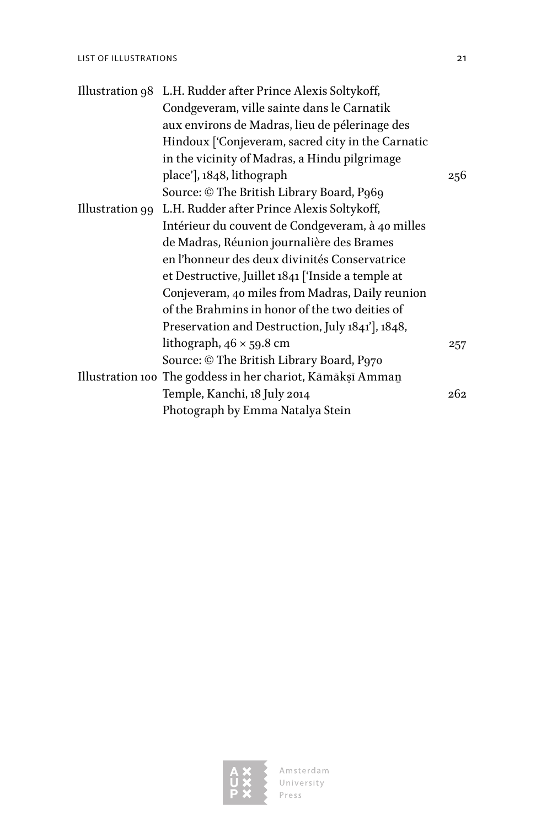|                 | Illustration 98 L.H. Rudder after Prince Alexis Soltykoff, |     |
|-----------------|------------------------------------------------------------|-----|
|                 | Condgeveram, ville sainte dans le Carnatik                 |     |
|                 | aux environs de Madras, lieu de pélerinage des             |     |
|                 | Hindoux ['Conjeveram, sacred city in the Carnatic          |     |
|                 | in the vicinity of Madras, a Hindu pilgrimage              |     |
|                 | place'], 1848, lithograph                                  | 256 |
|                 | Source: © The British Library Board, P969                  |     |
| Illustration 99 | L.H. Rudder after Prince Alexis Soltykoff,                 |     |
|                 | Intérieur du couvent de Condgeveram, à 40 milles           |     |
|                 | de Madras, Réunion journalière des Brames                  |     |
|                 | en l'honneur des deux divinités Conservatrice              |     |
|                 | et Destructive, Juillet 1841 ['Inside a temple at          |     |
|                 | Conjeveram, 40 miles from Madras, Daily reunion            |     |
|                 | of the Brahmins in honor of the two deities of             |     |
|                 | Preservation and Destruction, July 1841'], 1848,           |     |
|                 | lithograph, $46 \times 59.8$ cm                            | 257 |
|                 | Source: © The British Library Board, P970                  |     |
|                 | Illustration 100 The goddess in her chariot, Kāmākșī Amman |     |
|                 | Temple, Kanchi, 18 July 2014                               | 262 |
|                 | Photograph by Emma Natalya Stein                           |     |

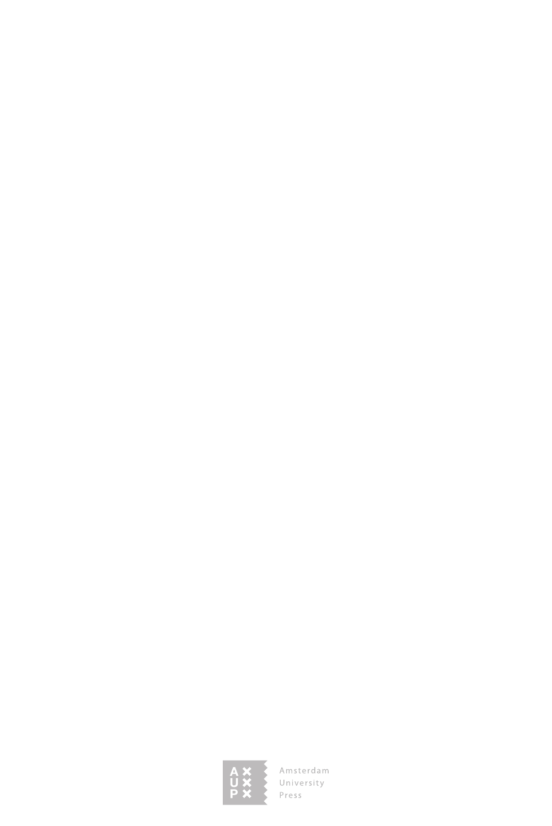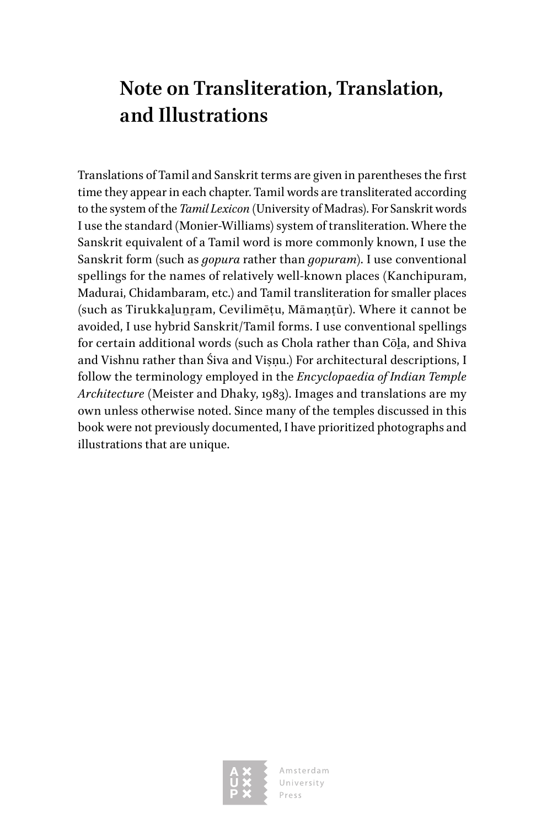### <span id="page-23-0"></span>**Note on Transliteration, Translation, and Illustrations**

Translations of Tamil and Sanskrit terms are given in parentheses the first time they appear in each chapter. Tamil words are transliterated according to the system of the *Tamil Lexicon* (University of Madras). For Sanskrit words I use the standard (Monier-Williams) system of transliteration. Where the Sanskrit equivalent of a Tamil word is more commonly known, I use the Sanskrit form (such as *gopura* rather than *gopuram*). I use conventional spellings for the names of relatively well-known places (Kanchipuram, Madurai, Chidambaram, etc.) and Tamil transliteration for smaller places (such as Tirukkaḻuṉṟam, Cevilimēṭu, Māmaṇṭūr). Where it cannot be avoided, I use hybrid Sanskrit/Tamil forms. I use conventional spellings for certain additional words (such as Chola rather than Cōla, and Shiva and Vishnu rather than Śiva and Viṣṇu.) For architectural descriptions, I follow the terminology employed in the *Encyclopaedia of Indian Temple Architecture* (Meister and Dhaky, 1983). Images and translations are my own unless otherwise noted. Since many of the temples discussed in this book were not previously documented, I have prioritized photographs and illustrations that are unique.



Amsterdam University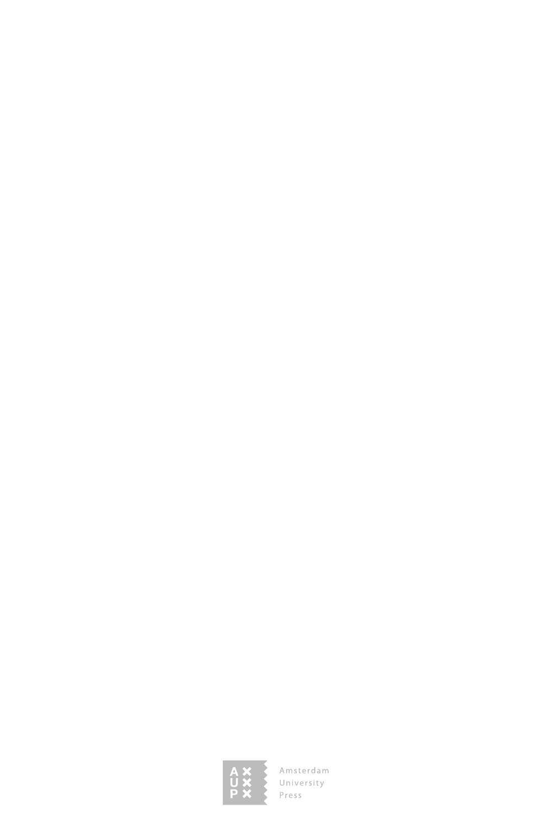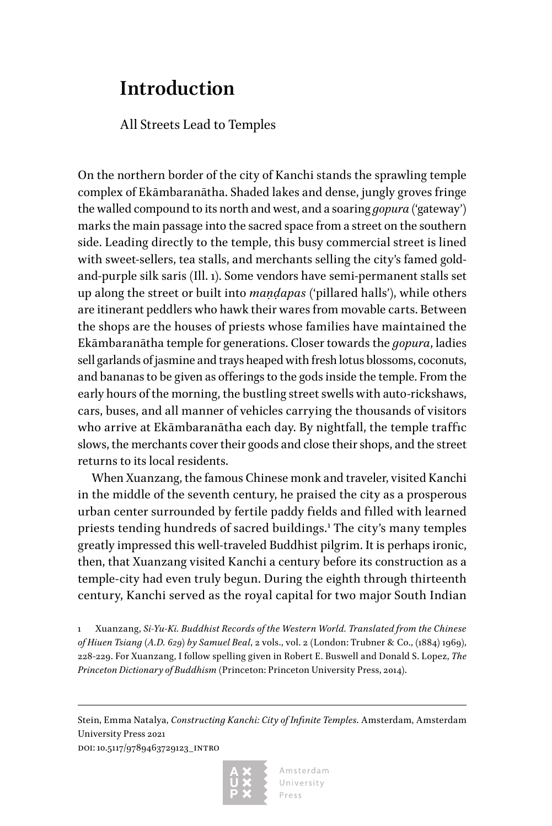### <span id="page-25-0"></span>**Introduction**

### All Streets Lead to Temples

On the northern border of the city of Kanchi stands the sprawling temple complex of Ekāmbaranātha. Shaded lakes and dense, jungly groves fringe the walled compound to its north and west, and a soaring *gopura* ('gateway') marks the main passage into the sacred space from a street on the southern side. Leading directly to the temple, this busy commercial street is lined with sweet-sellers, tea stalls, and merchants selling the city's famed goldand-purple silk saris (Ill. 1). Some vendors have semi-permanent stalls set up along the street or built into *maṇḍapas* ('pillared halls'), while others are itinerant peddlers who hawk their wares from movable carts. Between the shops are the houses of priests whose families have maintained the Ekāmbaranātha temple for generations. Closer towards the *gopura*, ladies sell garlands of jasmine and trays heaped with fresh lotus blossoms, coconuts, and bananas to be given as offerings to the gods inside the temple. From the early hours of the morning, the bustling street swells with auto-rickshaws, cars, buses, and all manner of vehicles carrying the thousands of visitors who arrive at Ekāmbaranātha each day. By nightfall, the temple traffic slows, the merchants cover their goods and close their shops, and the street returns to its local residents.

When Xuanzang, the famous Chinese monk and traveler, visited Kanchi in the middle of the seventh century, he praised the city as a prosperous urban center surrounded by fertile paddy fields and filled with learned priests tending hundreds of sacred buildings.<sup>1</sup> The city's many temples greatly impressed this well-traveled Buddhist pilgrim. It is perhaps ironic, then, that Xuanzang visited Kanchi a century before its construction as a temple-city had even truly begun. During the eighth through thirteenth century, Kanchi served as the royal capital for two major South Indian

1 Xuanzang, *Si-Yu-Ki. Buddhist Records of the Western World. Translated from the Chinese of Hiuen Tsiang (A.D. 629) by Samuel Beal*, 2 vols., vol. 2 (London: Trubner & Co., (1884) 1969), 228-229. For Xuanzang, I follow spelling given in Robert E. Buswell and Donald S. Lopez, *The Princeton Dictionary of Buddhism* (Princeton: Princeton University Press, 2014).

Stein, Emma Natalya, *Constructing Kanchi: City of Infinite Temples*. Amsterdam, Amsterdam University Press 2021 doi: 10.5117/9789463729123\_intro

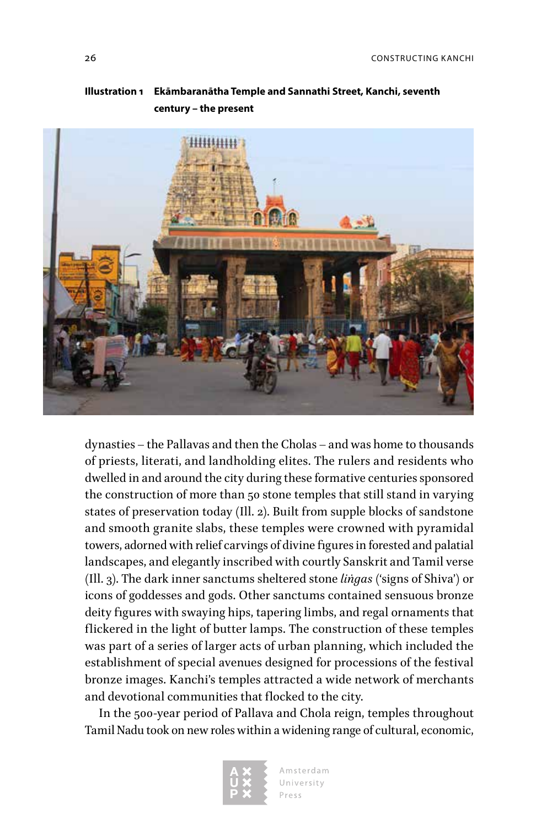### <span id="page-26-0"></span>**Illustration 1 Ekāmbaranātha Temple and Sannathi Street, Kanchi, seventh century – the present**



dynasties – the Pallavas and then the Cholas – and was home to thousands of priests, literati, and landholding elites. The rulers and residents who dwelled in and around the city during these formative centuries sponsored the construction of more than 50 stone temples that still stand in varying states of preservation today (Ill. 2). Built from supple blocks of sandstone and smooth granite slabs, these temples were crowned with pyramidal towers, adorned with relief carvings of divine figures in forested and palatial landscapes, and elegantly inscribed with courtly Sanskrit and Tamil verse (Ill. 3). The dark inner sanctums sheltered stone *liṅgas* ('signs of Shiva') or icons of goddesses and gods. Other sanctums contained sensuous bronze deity figures with swaying hips, tapering limbs, and regal ornaments that flickered in the light of butter lamps. The construction of these temples was part of a series of larger acts of urban planning, which included the establishment of special avenues designed for processions of the festival bronze images. Kanchi's temples attracted a wide network of merchants and devotional communities that flocked to the city.

In the 500-year period of Pallava and Chola reign, temples throughout Tamil Nadu took on new roles within a widening range of cultural, economic,

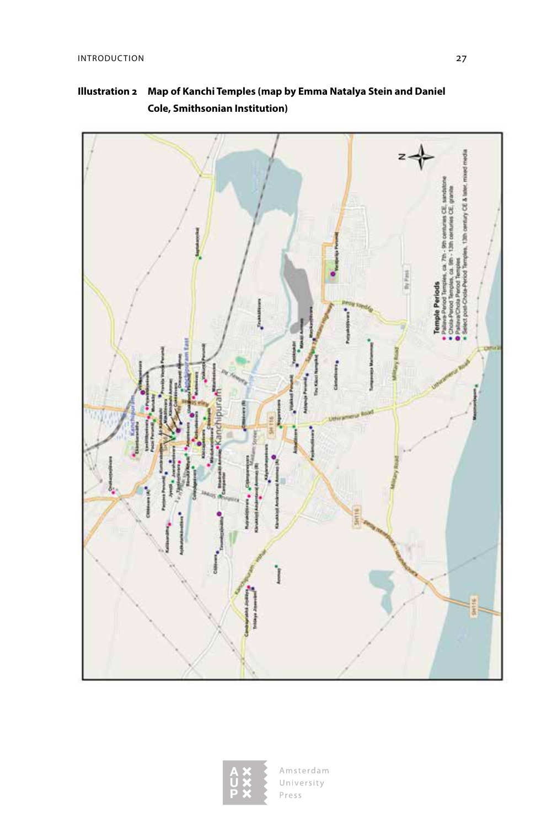

### <span id="page-27-0"></span>**Illustration 2 Map of Kanchi Temples (map by Emma Natalya Stein and Daniel Cole, Smithsonian Institution)**

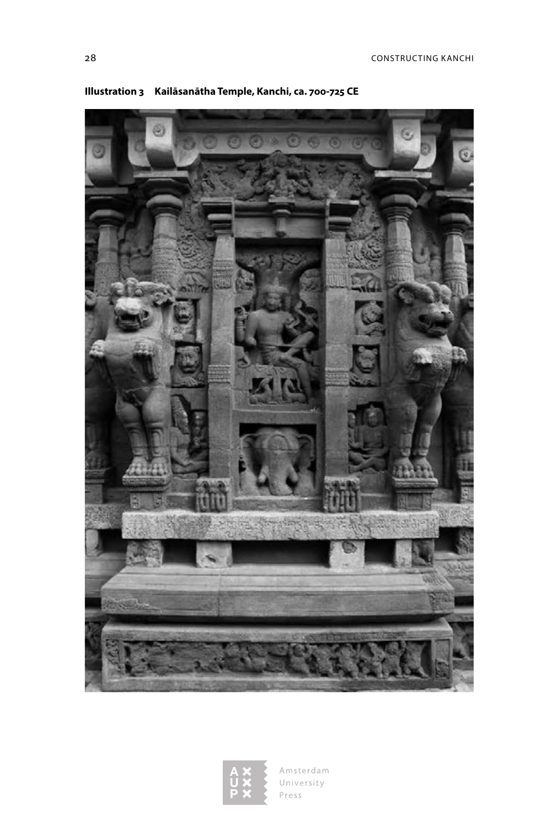

<span id="page-28-0"></span>**Illustration 3 Kailāsanātha Temple, Kanchi, ca. 700-725 CE**

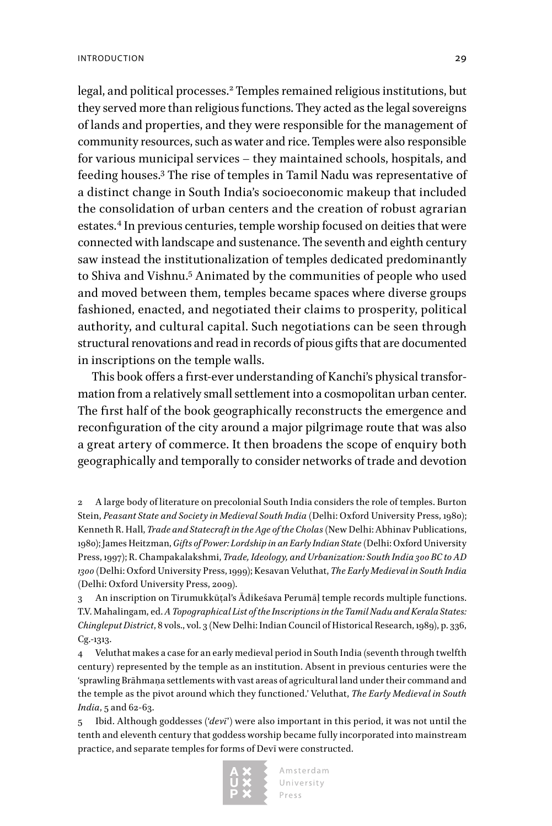legal, and political processes.<sup>2</sup> Temples remained religious institutions, but they served more than religious functions. They acted as the legal sovereigns of lands and properties, and they were responsible for the management of community resources, such as water and rice. Temples were also responsible for various municipal services – they maintained schools, hospitals, and feeding houses.3 The rise of temples in Tamil Nadu was representative of a distinct change in South India's socioeconomic makeup that included the consolidation of urban centers and the creation of robust agrarian estates.<sup>4</sup> In previous centuries, temple worship focused on deities that were connected with landscape and sustenance. The seventh and eighth century saw instead the institutionalization of temples dedicated predominantly to Shiva and Vishnu.5 Animated by the communities of people who used and moved between them, temples became spaces where diverse groups fashioned, enacted, and negotiated their claims to prosperity, political authority, and cultural capital. Such negotiations can be seen through structural renovations and read in records of pious gifts that are documented in inscriptions on the temple walls.

This book offers a first-ever understanding of Kanchi's physical transformation from a relatively small settlement into a cosmopolitan urban center. The first half of the book geographically reconstructs the emergence and reconfiguration of the city around a major pilgrimage route that was also a great artery of commerce. It then broadens the scope of enquiry both geographically and temporally to consider networks of trade and devotion

2 A large body of literature on precolonial South India considers the role of temples. Burton Stein, *Peasant State and Society in Medieval South India* (Delhi: Oxford University Press, 1980); Kenneth R. Hall, *Trade and Statecraft in the Age of the Cholas* (New Delhi: Abhinav Publications, 1980); James Heitzman, *Gifts of Power: Lordship in an Early Indian State* (Delhi: Oxford University Press, 1997); R. Champakalakshmi, *Trade, Ideology, and Urbanization: South India 300 BC to AD 1300* (Delhi: Oxford University Press, 1999); Kesavan Veluthat, *The Early Medieval in South India* (Delhi: Oxford University Press, 2009).

3 An inscription on Tirumukkūṭal's Ādikeśava Perumāḷ temple records multiple functions. T.V. Mahalingam, ed. *A Topographical List of the Inscriptions in the Tamil Nadu and Kerala States: Chingleput District*, 8 vols., vol. 3 (New Delhi: Indian Council of Historical Research, 1989), p. 336, Cg.-1313.

4 Veluthat makes a case for an early medieval period in South India (seventh through twelfth century) represented by the temple as an institution. Absent in previous centuries were the 'sprawling Brāhmaṇa settlements with vast areas of agricultural land under their command and the temple as the pivot around which they functioned.' Veluthat, *The Early Medieval in South India*, 5 and 62-63.

5 Ibid. Although goddesses ('*devī*') were also important in this period, it was not until the tenth and eleventh century that goddess worship became fully incorporated into mainstream practice, and separate temples for forms of Devī were constructed.

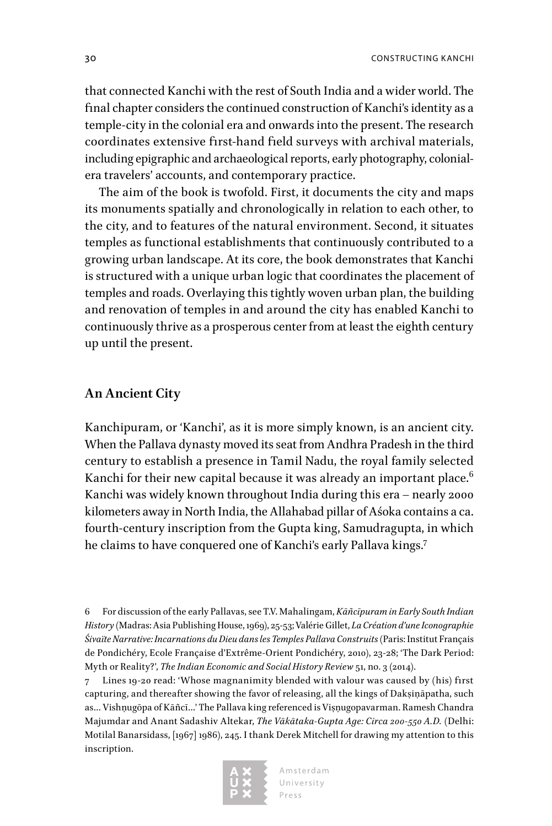<span id="page-30-0"></span>that connected Kanchi with the rest of South India and a wider world. The final chapter considers the continued construction of Kanchi's identity as a temple-city in the colonial era and onwards into the present. The research coordinates extensive first-hand field surveys with archival materials, including epigraphic and archaeological reports, early photography, colonialera travelers' accounts, and contemporary practice.

The aim of the book is twofold. First, it documents the city and maps its monuments spatially and chronologically in relation to each other, to the city, and to features of the natural environment. Second, it situates temples as functional establishments that continuously contributed to a growing urban landscape. At its core, the book demonstrates that Kanchi is structured with a unique urban logic that coordinates the placement of temples and roads. Overlaying this tightly woven urban plan, the building and renovation of temples in and around the city has enabled Kanchi to continuously thrive as a prosperous center from at least the eighth century up until the present.

#### **An Ancient City**

Kanchipuram, or 'Kanchi', as it is more simply known, is an ancient city. When the Pallava dynasty moved its seat from Andhra Pradesh in the third century to establish a presence in Tamil Nadu, the royal family selected Kanchi for their new capital because it was already an important place.<sup>6</sup> Kanchi was widely known throughout India during this era – nearly 2000 kilometers away in North India, the Allahabad pillar of Aśoka contains a ca. fourth-century inscription from the Gupta king, Samudragupta, in which he claims to have conquered one of Kanchi's early Pallava kings.7

6 For discussion of the early Pallavas, see T.V. Mahalingam, *Kāñcīpuram in Early South Indian History* (Madras: Asia Publishing House, 1969), 25-53; Valérie Gillet, *La Création d'une Iconographie Śivaïte Narrative: Incarnations du Dieu dans les Temples Pallava Construits* (Paris: Institut Français de Pondichéry, Ecole Française d'Extrême-Orient Pondichéry, 2010), 23-28; 'The Dark Period: Myth or Reality?', *The Indian Economic and Social History Review* 51, no. 3 (2014).

 $7$  Lines 19-20 read: 'Whose magnanimity blended with valour was caused by (his) first capturing, and thereafter showing the favor of releasing, all the kings of Dakṣiṇāpatha, such as… Vishṇugōpa of Kāñcī…' The Pallava king referenced is Viṣṇugopavarman. Ramesh Chandra Majumdar and Anant Sadashiv Altekar, *The Vākātaka-Gupta Age: Circa 200-550 A.D.* (Delhi: Motilal Banarsidass, [1967] 1986), 245. I thank Derek Mitchell for drawing my attention to this inscription.

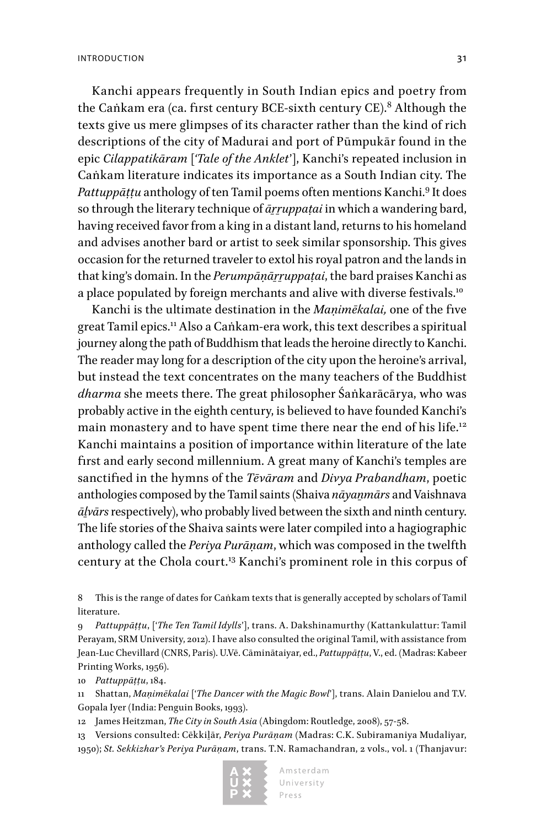Kanchi appears frequently in South Indian epics and poetry from the Caṅkam era (ca. first century BCE-sixth century CE).<sup>8</sup> Although the texts give us mere glimpses of its character rather than the kind of rich descriptions of the city of Madurai and port of Pūmpukār found in the epic *Cilappatikāram* [*'Tale of the Anklet*'], Kanchi's repeated inclusion in Caṅkam literature indicates its importance as a South Indian city. The *Pattuppāṭṭu* anthology of ten Tamil poems often mentions Kanchi.<sup>9</sup> It does so through the literary technique of  $\bar{a}$ *rruppaṭai* in which a wandering bard, having received favor from a king in a distant land, returns to his homeland and advises another bard or artist to seek similar sponsorship. This gives occasion for the returned traveler to extol his royal patron and the lands in that king's domain. In the *Perumpāṇāṟṟuppaṭai*, the bard praises Kanchi as a place populated by foreign merchants and alive with diverse festivals.<sup>10</sup>

Kanchi is the ultimate destination in the *Maṇimēkalai,* one of the five great Tamil epics.11 Also a Caṅkam-era work, this text describes a spiritual journey along the path of Buddhism that leads the heroine directly to Kanchi. The reader may long for a description of the city upon the heroine's arrival, but instead the text concentrates on the many teachers of the Buddhist *dharma* she meets there. The great philosopher Śaṅkarācārya, who was probably active in the eighth century, is believed to have founded Kanchi's main monastery and to have spent time there near the end of his life.<sup>12</sup> Kanchi maintains a position of importance within literature of the late first and early second millennium. A great many of Kanchi's temples are sanctified in the hymns of the *Tēvāram* and *Divya Prabandham*, poetic anthologies composed by the Tamil saints (Shaiva *nāyaṉmārs* and Vaishnava *āḻvārs* respectively), who probably lived between the sixth and ninth century. The life stories of the Shaiva saints were later compiled into a hagiographic anthology called the *Periya Purāṇam*, which was composed in the twelfth century at the Chola court.<sup>13</sup> Kanchi's prominent role in this corpus of

8 This is the range of dates for Caṅkam texts that is generally accepted by scholars of Tamil literature.

9 *Pattuppāṭṭu*, ['*The Ten Tamil Idylls*'], trans. A. Dakshinamurthy (Kattankulattur: Tamil Perayam, SRM University, 2012). I have also consulted the original Tamil, with assistance from Jean-Luc Chevillard (CNRS, Paris). U.Vē. Cāminātaiyar, ed., *Pattuppāṭṭu*, V., ed. (Madras: Kabeer Printing Works, 1956).

10 *Pattuppāṭṭu*, 184.

11 Shattan, *Maṇimēkalai* ['*The Dancer with the Magic Bowl*'], trans. Alain Danielou and T.V. Gopala Iyer (India: Penguin Books, 1993).

12 James Heitzman, *The City in South Asia* (Abingdom: Routledge, 2008), 57-58.

13 Versions consulted: Cēkkiḻār, *Periya Purāṇam* (Madras: C.K. Subiramaniya Mudaliyar, 1950); *St. Sekkizhar's Periya Purāṇam*, trans. T.N. Ramachandran, 2 vols., vol. 1 (Thanjavur:

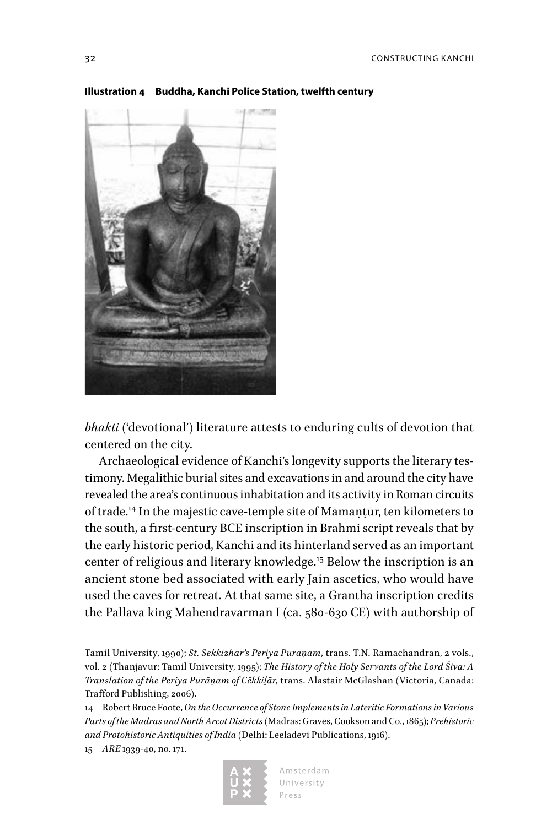

<span id="page-32-0"></span>**Illustration 4 Buddha, Kanchi Police Station, twelfth century**

*bhakti* ('devotional') literature attests to enduring cults of devotion that centered on the city.

Archaeological evidence of Kanchi's longevity supports the literary testimony. Megalithic burial sites and excavations in and around the city have revealed the area's continuous inhabitation and its activity in Roman circuits of trade.14 In the majestic cave-temple site of Māmaṇṭūr, ten kilometers to the south, a first-century BCE inscription in Brahmi script reveals that by the early historic period, Kanchi and its hinterland served as an important center of religious and literary knowledge.15 Below the inscription is an ancient stone bed associated with early Jain ascetics, who would have used the caves for retreat. At that same site, a Grantha inscription credits the Pallava king Mahendravarman I (ca. 580-630 CE) with authorship of

Tamil University, 1990); *St. Sekkizhar's Periya Purāṇam*, trans. T.N. Ramachandran, 2 vols., vol. 2 (Thanjavur: Tamil University, 1995); *The History of the Holy Servants of the Lord Śiva: A Translation of the Periya Purāṇam of Cēkkiḻār*, trans. Alastair McGlashan (Victoria, Canada: Trafford Publishing, 2006).

14 Robert Bruce Foote, *On the Occurrence of Stone Implements in Lateritic Formations in Various Parts of the Madras and North Arcot Districts* (Madras: Graves, Cookson and Co., 1865); *Prehistoric and Protohistoric Antiquities of India* (Delhi: Leeladevi Publications, 1916).

15 *ARE* 1939-40, no. 171.

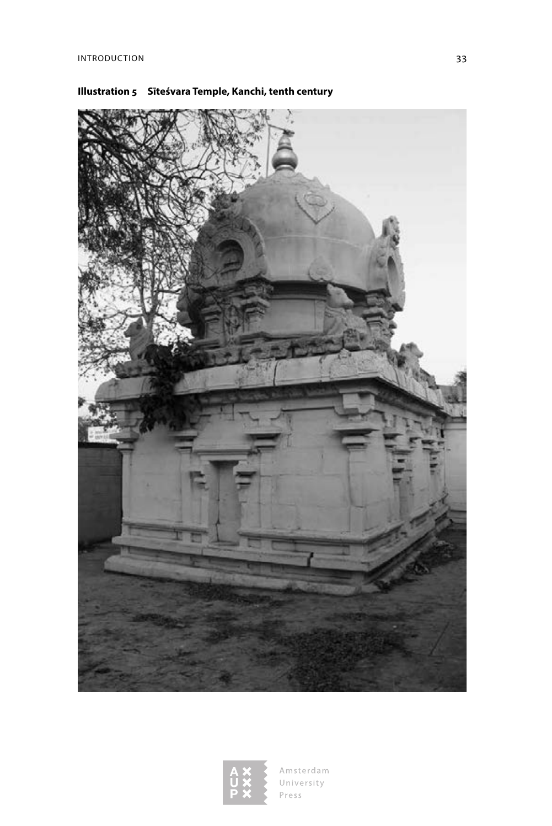

### <span id="page-33-0"></span>**Illustration 5 Sīteśvara Temple, Kanchi, tenth century**

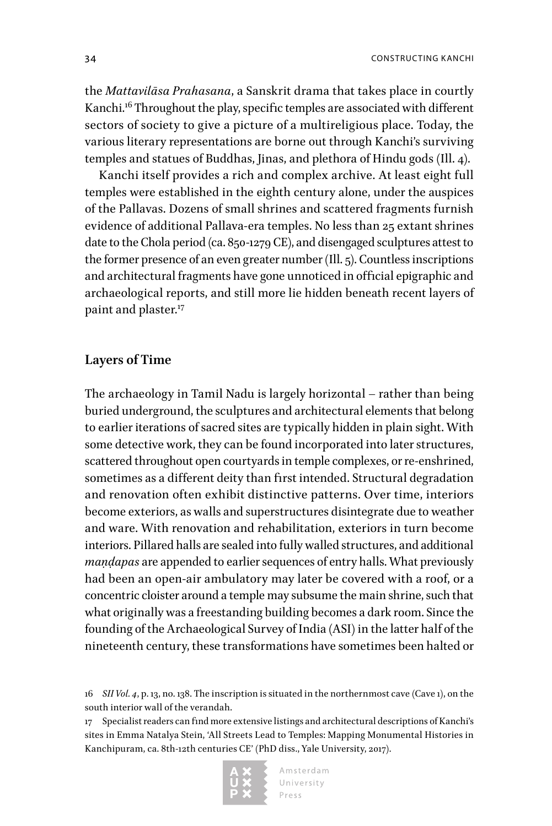<span id="page-34-0"></span>the *Mattavilāsa Prahasana*, a Sanskrit drama that takes place in courtly Kanchi.<sup>16</sup> Throughout the play, specific temples are associated with different sectors of society to give a picture of a multireligious place. Today, the various literary representations are borne out through Kanchi's surviving temples and statues of Buddhas, Jinas, and plethora of Hindu gods (Ill. 4).

Kanchi itself provides a rich and complex archive. At least eight full temples were established in the eighth century alone, under the auspices of the Pallavas. Dozens of small shrines and scattered fragments furnish evidence of additional Pallava-era temples. No less than 25 extant shrines date to the Chola period (ca. 850-1279 CE), and disengaged sculptures attest to the former presence of an even greater number (Ill. 5). Countless inscriptions and architectural fragments have gone unnoticed in official epigraphic and archaeological reports, and still more lie hidden beneath recent layers of paint and plaster.<sup>17</sup>

### **Layers of Time**

The archaeology in Tamil Nadu is largely horizontal – rather than being buried underground, the sculptures and architectural elements that belong to earlier iterations of sacred sites are typically hidden in plain sight. With some detective work, they can be found incorporated into later structures, scattered throughout open courtyards in temple complexes, or re-enshrined, sometimes as a different deity than first intended. Structural degradation and renovation often exhibit distinctive patterns. Over time, interiors become exteriors, as walls and superstructures disintegrate due to weather and ware. With renovation and rehabilitation, exteriors in turn become interiors. Pillared halls are sealed into fully walled structures, and additional *maṇḍapas* are appended to earlier sequences of entry halls. What previously had been an open-air ambulatory may later be covered with a roof, or a concentric cloister around a temple may subsume the main shrine, such that what originally was a freestanding building becomes a dark room. Since the founding of the Archaeological Survey of India (ASI) in the latter half of the nineteenth century, these transformations have sometimes been halted or

<sup>17</sup> Specialist readers can find more extensive listings and architectural descriptions of Kanchi's sites in Emma Natalya Stein, 'All Streets Lead to Temples: Mapping Monumental Histories in Kanchipuram, ca. 8th-12th centuries CE' (PhD diss., Yale University, 2017).



<sup>16</sup> *SII Vol. 4*, p. 13, no. 138. The inscription is situated in the northernmost cave (Cave 1), on the south interior wall of the verandah.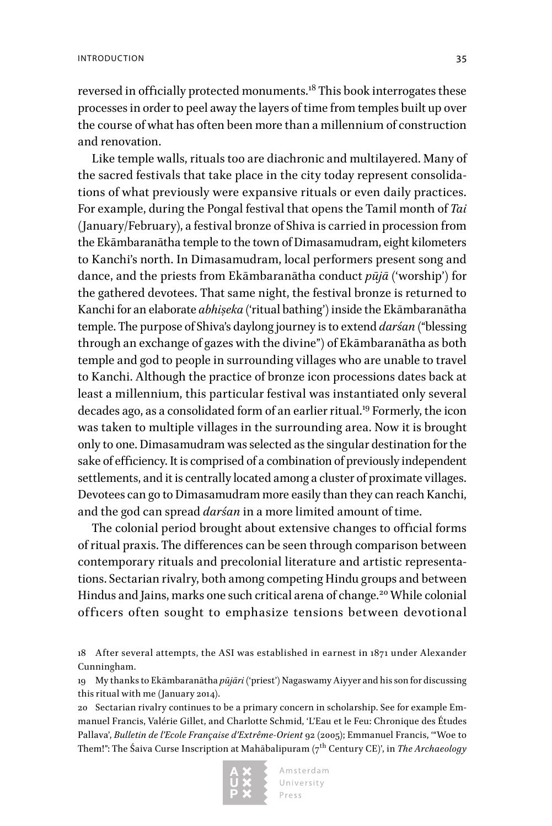reversed in officially protected monuments.<sup>18</sup> This book interrogates these processes in order to peel away the layers of time from temples built up over the course of what has often been more than a millennium of construction and renovation.

Like temple walls, rituals too are diachronic and multilayered. Many of the sacred festivals that take place in the city today represent consolidations of what previously were expansive rituals or even daily practices. For example, during the Pongal festival that opens the Tamil month of *Tai* (January/February), a festival bronze of Shiva is carried in procession from the Ekāmbaranātha temple to the town of Dimasamudram, eight kilometers to Kanchi's north. In Dimasamudram, local performers present song and dance, and the priests from Ekāmbaranātha conduct *pūjā* ('worship') for the gathered devotees. That same night, the festival bronze is returned to Kanchi for an elaborate *abhiṣeka* ('ritual bathing') inside the Ekāmbaranātha temple. The purpose of Shiva's daylong journey is to extend *darśan* ("blessing through an exchange of gazes with the divine") of Ekāmbaranātha as both temple and god to people in surrounding villages who are unable to travel to Kanchi. Although the practice of bronze icon processions dates back at least a millennium, this particular festival was instantiated only several decades ago, as a consolidated form of an earlier ritual.<sup>19</sup> Formerly, the icon was taken to multiple villages in the surrounding area. Now it is brought only to one. Dimasamudram was selected as the singular destination for the sake of efficiency. It is comprised of a combination of previously independent settlements, and it is centrally located among a cluster of proximate villages. Devotees can go to Dimasamudram more easily than they can reach Kanchi, and the god can spread *darśan* in a more limited amount of time.

The colonial period brought about extensive changes to official forms of ritual praxis. The differences can be seen through comparison between contemporary rituals and precolonial literature and artistic representations. Sectarian rivalry, both among competing Hindu groups and between Hindus and Jains, marks one such critical arena of change.<sup>20</sup> While colonial officers often sought to emphasize tensions between devotional

18 After several attempts, the ASI was established in earnest in 1871 under Alexander Cunningham.

19 My thanks to Ekāmbaranātha *pūjāri* ('priest') Nagaswamy Aiyyer and his son for discussing this ritual with me (January 2014).

20 Sectarian rivalry continues to be a primary concern in scholarship. See for example Emmanuel Francis, Valérie Gillet, and Charlotte Schmid, 'L'Eau et le Feu: Chronique des Études Pallava', *Bulletin de l'Ecole Française d'Extrême-Orient* 92 (2005); Emmanuel Francis, '"Woe to Them!": The Śaiva Curse Inscription at Mahābalipuram (7th Century CE)', in *The Archaeology* 

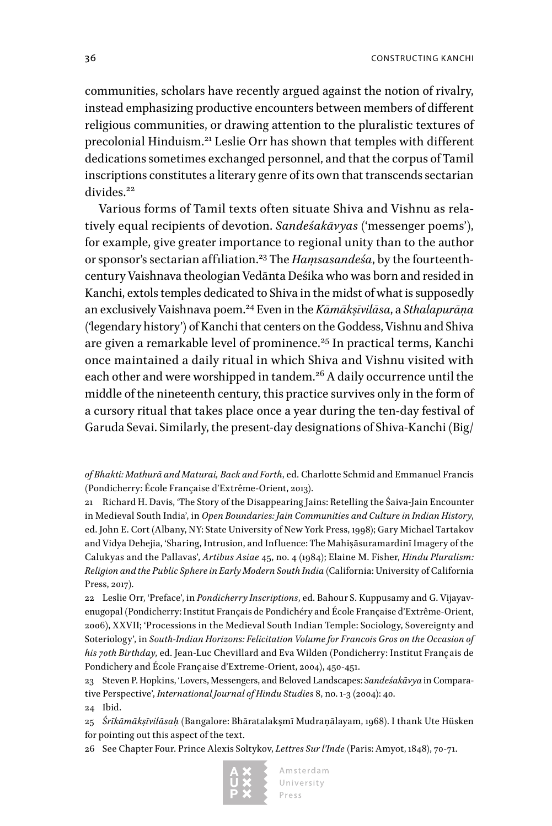communities, scholars have recently argued against the notion of rivalry, instead emphasizing productive encounters between members of different religious communities, or drawing attention to the pluralistic textures of precolonial Hinduism.21 Leslie Orr has shown that temples with different dedications sometimes exchanged personnel, and that the corpus of Tamil inscriptions constitutes a literary genre of its own that transcends sectarian divides.<sup>22</sup>

Various forms of Tamil texts often situate Shiva and Vishnu as relatively equal recipients of devotion. *Sandeśakāvyas* ('messenger poems'), for example, give greater importance to regional unity than to the author or sponsor's sectarian affiliation.23 The *Haṃsasandeśa*, by the fourteenthcentury Vaishnava theologian Vedānta Deśika who was born and resided in Kanchi, extols temples dedicated to Shiva in the midst of what is supposedly an exclusively Vaishnava poem.24 Even in the *Kāmākṣīvilāsa*, a *Sthalapurāṇa* ('legendary history') of Kanchi that centers on the Goddess, Vishnu and Shiva are given a remarkable level of prominence.<sup>25</sup> In practical terms, Kanchi once maintained a daily ritual in which Shiva and Vishnu visited with each other and were worshipped in tandem.<sup>26</sup> A daily occurrence until the middle of the nineteenth century, this practice survives only in the form of a cursory ritual that takes place once a year during the ten-day festival of Garuda Sevai. Similarly, the present-day designations of Shiva-Kanchi (Big/

*of Bhakti: Mathurā and Maturai, Back and Forth*, ed. Charlotte Schmid and Emmanuel Francis (Pondicherry: École Française d'Extrême-Orient, 2013).

21 Richard H. Davis, 'The Story of the Disappearing Jains: Retelling the Śaiva-Jain Encounter in Medieval South India', in *Open Boundaries: Jain Communities and Culture in Indian History*, ed. John E. Cort (Albany, NY: State University of New York Press, 1998); Gary Michael Tartakov and Vidya Dehejia, 'Sharing, Intrusion, and Influence: The Mahiṣāsuramardinī Imagery of the Calukyas and the Pallavas', *Artibus Asiae* 45, no. 4 (1984); Elaine M. Fisher, *Hindu Pluralism: Religion and the Public Sphere in Early Modern South India* (California: University of California Press, 2017).

22 Leslie Orr, 'Preface', in *Pondicherry Inscriptions*, ed. Bahour S. Kuppusamy and G. Vijayavenugopal (Pondicherry: Institut Français de Pondichéry and École Française d'Extrême-Orient, 2006), XXVII; 'Processions in the Medieval South Indian Temple: Sociology, Sovereignty and Soteriology', in *South-Indian Horizons: Felicitation Volume for Francois Gros on the Occasion of*  his 70th Birthday, ed. Jean-Luc Chevillard and Eva Wilden (Pondicherry: Institut Français de Pondichery and École Française d'Extreme-Orient, 2004), 450-451.

23 Steven P. Hopkins, 'Lovers, Messengers, and Beloved Landscapes: *Sandeśakāvya* in Comparative Perspective', *International Journal of Hindu Studies* 8, no. 1-3 (2004): 40.

24 Ibid.

25 *Śrīkāmākṣīvilāsaḥ* (Bangalore: Bhāratalakṣmī Mudraṇālayam, 1968). I thank Ute Hüsken for pointing out this aspect of the text.

26 See Chapter Four. Prince Alexis Soltykov, *Lettres Sur l'Inde* (Paris: Amyot, 1848), 70-71.

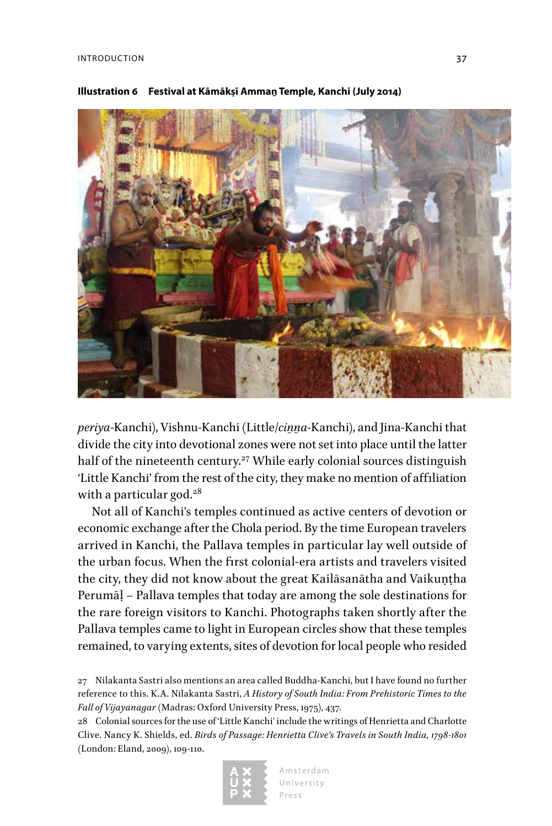

#### <span id="page-37-0"></span>**Illustration 6 Festival at Kāmākṣī Ammaṉ Temple, Kanchi (July 2014)**

*periya*-Kanchi), Vishnu-Kanchi (Little/*ciṉṉa*-Kanchi), and Jina-Kanchi that divide the city into devotional zones were not set into place until the latter half of the nineteenth century.<sup>27</sup> While early colonial sources distinguish 'Little Kanchi' from the rest of the city, they make no mention of affiliation with a particular god. $28$ 

Not all of Kanchi's temples continued as active centers of devotion or economic exchange after the Chola period. By the time European travelers arrived in Kanchi, the Pallava temples in particular lay well outside of the urban focus. When the first colonial-era artists and travelers visited the city, they did not know about the great Kailāsanātha and Vaikuṇṭha Perumāḷ – Pallava temples that today are among the sole destinations for the rare foreign visitors to Kanchi. Photographs taken shortly after the Pallava temples came to light in European circles show that these temples remained, to varying extents, sites of devotion for local people who resided

27 Nilakanta Sastri also mentions an area called Buddha-Kanchi, but I have found no further reference to this. K.A. Nilakanta Sastri, *A History of South India: From Prehistoric Times to the Fall of Vijayanagar* (Madras: Oxford University Press, 1975), 437.

28 Colonial sources for the use of 'Little Kanchi' include the writings of Henrietta and Charlotte Clive. Nancy K. Shields, ed. *Birds of Passage: Henrietta Clive's Travels in South India, 1798-1801* (London: Eland, 2009), 109-110.

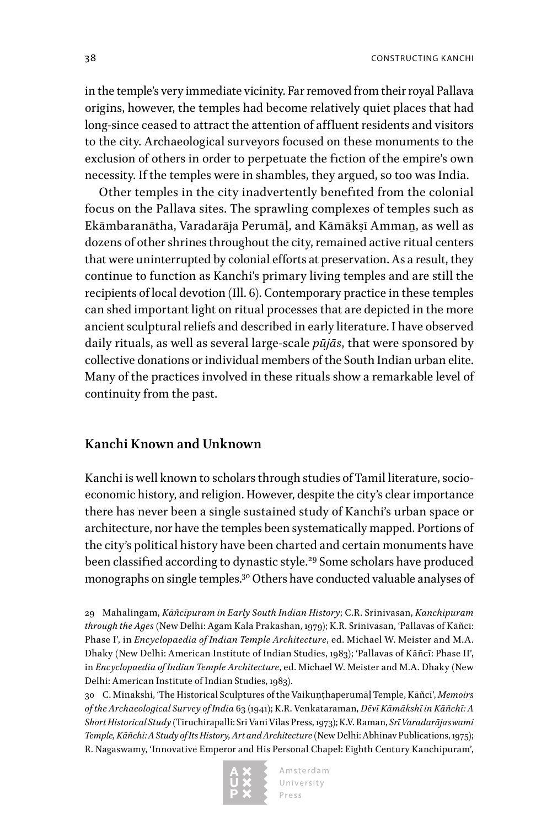<span id="page-38-0"></span>in the temple's very immediate vicinity. Far removed from their royal Pallava origins, however, the temples had become relatively quiet places that had long-since ceased to attract the attention of affluent residents and visitors to the city. Archaeological surveyors focused on these monuments to the exclusion of others in order to perpetuate the fiction of the empire's own necessity. If the temples were in shambles, they argued, so too was India.

Other temples in the city inadvertently benefited from the colonial focus on the Pallava sites. The sprawling complexes of temples such as Ekāmbaranātha, Varadarāja Perumāḷ, and Kāmākṣī Ammaṉ, as well as dozens of other shrines throughout the city, remained active ritual centers that were uninterrupted by colonial efforts at preservation. As a result, they continue to function as Kanchi's primary living temples and are still the recipients of local devotion (Ill. 6). Contemporary practice in these temples can shed important light on ritual processes that are depicted in the more ancient sculptural reliefs and described in early literature. I have observed daily rituals, as well as several large-scale *pūjās*, that were sponsored by collective donations or individual members of the South Indian urban elite. Many of the practices involved in these rituals show a remarkable level of continuity from the past.

### **Kanchi Known and Unknown**

Kanchi is well known to scholars through studies of Tamil literature, socioeconomic history, and religion. However, despite the city's clear importance there has never been a single sustained study of Kanchi's urban space or architecture, nor have the temples been systematically mapped. Portions of the city's political history have been charted and certain monuments have been classified according to dynastic style.<sup>29</sup> Some scholars have produced monographs on single temples.30 Others have conducted valuable analyses of

30 C. Minakshi, 'The Historical Sculptures of the Vaikuṇṭhaperumāḷ Temple, Kāñcī', *Memoirs of the Archaeological Survey of India* 63 (1941); K.R. Venkataraman, *Dēvī Kāmākshī in Kāñchī: A Short Historical Study* (Tiruchirapalli: Sri Vani Vilas Press, 1973); K.V. Raman, *Srī Varadarājaswami Temple, Kāñchi: A Study of Its History, Art and Architecture* (New Delhi: Abhinav Publications, 1975); R. Nagaswamy, 'Innovative Emperor and His Personal Chapel: Eighth Century Kanchipuram',



<sup>29</sup> Mahalingam, *Kāñcīpuram in Early South Indian History*; C.R. Srinivasan, *Kanchipuram through the Ages* (New Delhi: Agam Kala Prakashan, 1979); K.R. Srinivasan, 'Pallavas of Kāñcī: Phase I', in *Encyclopaedia of Indian Temple Architecture*, ed. Michael W. Meister and M.A. Dhaky (New Delhi: American Institute of Indian Studies, 1983); 'Pallavas of Kāñcī: Phase II', in *Encyclopaedia of Indian Temple Architecture*, ed. Michael W. Meister and M.A. Dhaky (New Delhi: American Institute of Indian Studies, 1983).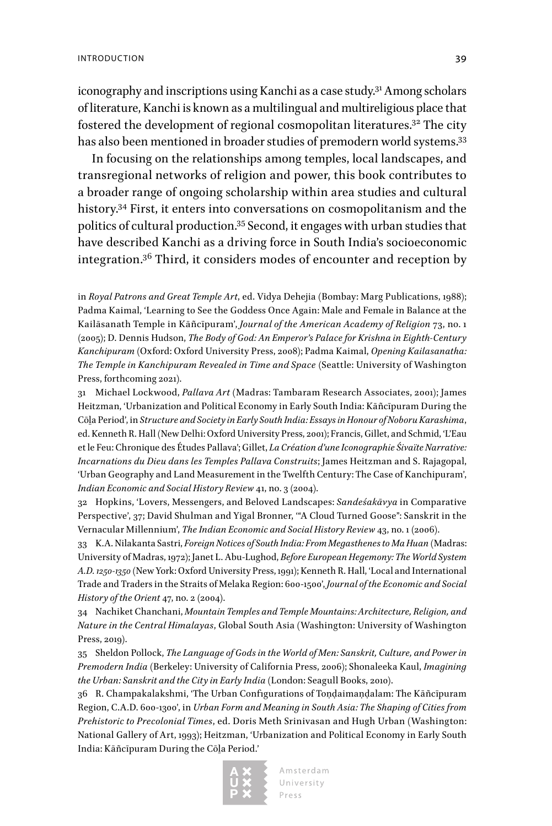#### Introduction 39

iconography and inscriptions using Kanchi as a case study.<sup>31</sup> Among scholars of literature, Kanchi is known as a multilingual and multireligious place that fostered the development of regional cosmopolitan literatures.32 The city has also been mentioned in broader studies of premodern world systems.<sup>33</sup>

In focusing on the relationships among temples, local landscapes, and transregional networks of religion and power, this book contributes to a broader range of ongoing scholarship within area studies and cultural history.34 First, it enters into conversations on cosmopolitanism and the politics of cultural production.35 Second, it engages with urban studies that have described Kanchi as a driving force in South India's socioeconomic integration.36 Third, it considers modes of encounter and reception by

in *Royal Patrons and Great Temple Art*, ed. Vidya Dehejia (Bombay: Marg Publications, 1988); Padma Kaimal, 'Learning to See the Goddess Once Again: Male and Female in Balance at the Kailāsanath Temple in Kāñcīpuram', *Journal of the American Academy of Religion* 73, no. 1 (2005); D. Dennis Hudson, *The Body of God: An Emperor's Palace for Krishna in Eighth-Century Kanchipuram* (Oxford: Oxford University Press, 2008); Padma Kaimal, *Opening Kailasanatha: The Temple in Kanchipuram Revealed in Time and Space* (Seattle: University of Washington Press, forthcoming 2021).

31 Michael Lockwood, *Pallava Art* (Madras: Tambaram Research Associates, 2001); James Heitzman, 'Urbanization and Political Economy in Early South India: Kāñcīpuram During the Cōḻa Period', in *Structure and Society in Early South India: Essays in Honour of Noboru Karashima*, ed. Kenneth R. Hall (New Delhi: Oxford University Press, 2001); Francis, Gillet, and Schmid, 'L'Eau et le Feu: Chronique des Études Pallava'; Gillet, *La Création d'une Iconographie Śivaïte Narrative: Incarnations du Dieu dans les Temples Pallava Construits*; James Heitzman and S. Rajagopal, 'Urban Geography and Land Measurement in the Twelfth Century: The Case of Kanchipuram', *Indian Economic and Social History Review* 41, no. 3 (2004).

32 Hopkins, 'Lovers, Messengers, and Beloved Landscapes: *Sandeśakāvya* in Comparative Perspective', 37; David Shulman and Yigal Bronner, '"A Cloud Turned Goose": Sanskrit in the Vernacular Millennium', *The Indian Economic and Social History Review* 43, no. 1 (2006).

33 K.A. Nilakanta Sastri, *Foreign Notices of South India: From Megasthenes to Ma Huan* (Madras: University of Madras, 1972); Janet L. Abu-Lughod, *Before European Hegemony: The World System A.D. 1250-1350* (New York: Oxford University Press, 1991); Kenneth R. Hall, 'Local and International Trade and Traders in the Straits of Melaka Region: 600-1500', *Journal of the Economic and Social History of the Orient* 47, no. 2 (2004).

34 Nachiket Chanchani, *Mountain Temples and Temple Mountains: Architecture, Religion, and Nature in the Central Himalayas*, Global South Asia (Washington: University of Washington Press, 2019).

35 Sheldon Pollock, *The Language of Gods in the World of Men: Sanskrit, Culture, and Power in Premodern India* (Berkeley: University of California Press, 2006); Shonaleeka Kaul, *Imagining the Urban: Sanskrit and the City in Early India* (London: Seagull Books, 2010).

36 R. Champakalakshmi, 'The Urban Configurations of Toṇḍaimaṇḍalam: The Kāñcīpuram Region, C.A.D. 600-1300', in *Urban Form and Meaning in South Asia: The Shaping of Cities from Prehistoric to Precolonial Times*, ed. Doris Meth Srinivasan and Hugh Urban (Washington: National Gallery of Art, 1993); Heitzman, 'Urbanization and Political Economy in Early South India: Kāñcīpuram During the Cōḻa Period.'

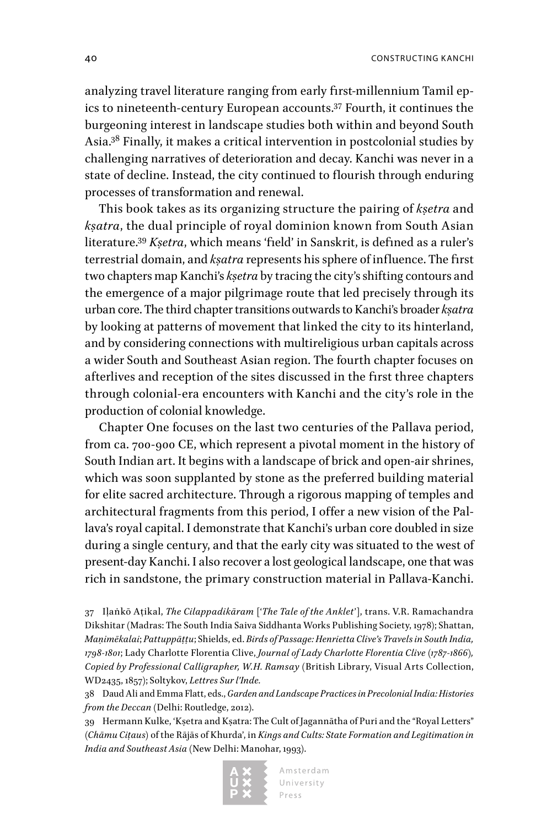analyzing travel literature ranging from early first-millennium Tamil epics to nineteenth-century European accounts.37 Fourth, it continues the burgeoning interest in landscape studies both within and beyond South Asia.38 Finally, it makes a critical intervention in postcolonial studies by challenging narratives of deterioration and decay. Kanchi was never in a state of decline. Instead, the city continued to flourish through enduring processes of transformation and renewal.

This book takes as its organizing structure the pairing of *kṣetra* and *kṣatra*, the dual principle of royal dominion known from South Asian literature.39 *Kṣetra*, which means 'field' in Sanskrit, is defined as a ruler's terrestrial domain, and *kṣatra* represents his sphere of influence. The first two chapters map Kanchi's *kṣetra* by tracing the city's shifting contours and the emergence of a major pilgrimage route that led precisely through its urban core. The third chapter transitions outwards to Kanchi's broader *kṣatra* by looking at patterns of movement that linked the city to its hinterland, and by considering connections with multireligious urban capitals across a wider South and Southeast Asian region. The fourth chapter focuses on afterlives and reception of the sites discussed in the first three chapters through colonial-era encounters with Kanchi and the city's role in the production of colonial knowledge.

Chapter One focuses on the last two centuries of the Pallava period, from ca. 700-900 CE, which represent a pivotal moment in the history of South Indian art. It begins with a landscape of brick and open-air shrines, which was soon supplanted by stone as the preferred building material for elite sacred architecture. Through a rigorous mapping of temples and architectural fragments from this period, I offer a new vision of the Pallava's royal capital. I demonstrate that Kanchi's urban core doubled in size during a single century, and that the early city was situated to the west of present-day Kanchi. I also recover a lost geological landscape, one that was rich in sandstone, the primary construction material in Pallava-Kanchi.

38 Daud Ali and Emma Flatt, eds., *Garden and Landscape Practices in Precolonial India: Histories from the Deccan* (Delhi: Routledge, 2012).

39 Hermann Kulke, 'Kṣetra and Kṣatra: The Cult of Jagannātha of Puri and the "Royal Letters" (*Chāmu Ciṭaus*) of the Rājās of Khurda', in *Kings and Cults: State Formation and Legitimation in India and Southeast Asia* (New Delhi: Manohar, 1993).



<sup>37</sup> Iḷaṅkō Aṭikal, *The Cilappadikāram* ['*The Tale of the Anklet*'], trans. V.R. Ramachandra Dikshitar (Madras: The South India Saiva Siddhanta Works Publishing Society, 1978); Shattan, *Maṇimēkalai*; *Pattuppāṭṭu*; Shields, ed. *Birds of Passage: Henrietta Clive's Travels in South India, 1798-1801*; Lady Charlotte Florentia Clive, *Journal of Lady Charlotte Florentia Clive (1787-1866), Copied by Professional Calligrapher, W.H. Ramsay* (British Library, Visual Arts Collection, WD2435, 1857); Soltykov, *Lettres Sur l'Inde.*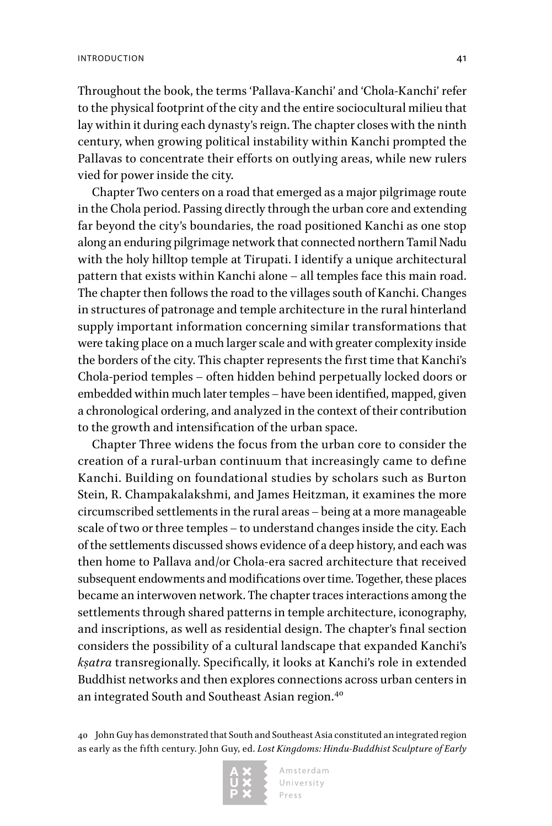Throughout the book, the terms 'Pallava-Kanchi' and 'Chola-Kanchi' refer to the physical footprint of the city and the entire sociocultural milieu that lay within it during each dynasty's reign. The chapter closes with the ninth century, when growing political instability within Kanchi prompted the Pallavas to concentrate their efforts on outlying areas, while new rulers vied for power inside the city.

Chapter Two centers on a road that emerged as a major pilgrimage route in the Chola period. Passing directly through the urban core and extending far beyond the city's boundaries, the road positioned Kanchi as one stop along an enduring pilgrimage network that connected northern Tamil Nadu with the holy hilltop temple at Tirupati. I identify a unique architectural pattern that exists within Kanchi alone – all temples face this main road. The chapter then follows the road to the villages south of Kanchi. Changes in structures of patronage and temple architecture in the rural hinterland supply important information concerning similar transformations that were taking place on a much larger scale and with greater complexity inside the borders of the city. This chapter represents the first time that Kanchi's Chola-period temples – often hidden behind perpetually locked doors or embedded within much later temples – have been identified, mapped, given a chronological ordering, and analyzed in the context of their contribution to the growth and intensification of the urban space.

Chapter Three widens the focus from the urban core to consider the creation of a rural-urban continuum that increasingly came to define Kanchi. Building on foundational studies by scholars such as Burton Stein, R. Champakalakshmi, and James Heitzman, it examines the more circumscribed settlements in the rural areas – being at a more manageable scale of two or three temples – to understand changes inside the city. Each of the settlements discussed shows evidence of a deep history, and each was then home to Pallava and/or Chola-era sacred architecture that received subsequent endowments and modifications over time. Together, these places became an interwoven network. The chapter traces interactions among the settlements through shared patterns in temple architecture, iconography, and inscriptions, as well as residential design. The chapter's final section considers the possibility of a cultural landscape that expanded Kanchi's *kṣatra* transregionally. Specifically, it looks at Kanchi's role in extended Buddhist networks and then explores connections across urban centers in an integrated South and Southeast Asian region.<sup>40</sup>

40 John Guy has demonstrated that South and Southeast Asia constituted an integrated region as early as the fifth century. John Guy, ed. *Lost Kingdoms: Hindu-Buddhist Sculpture of Early*